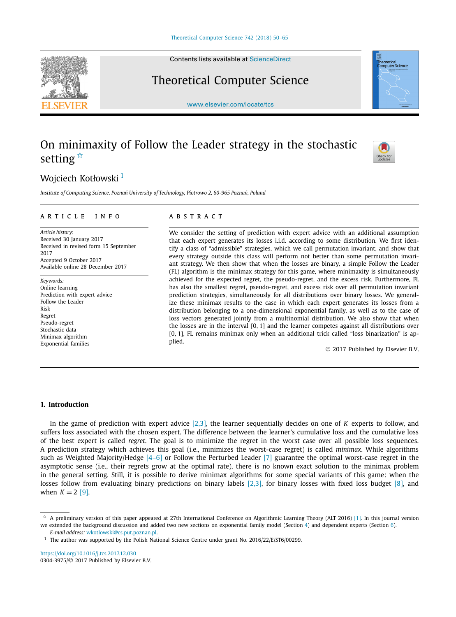Contents lists available at [ScienceDirect](http://www.ScienceDirect.com/)

# Theoretical Computer Science

[www.elsevier.com/locate/tcs](http://www.elsevier.com/locate/tcs)

# On minimaxity of Follow the Leader strategy in the stochastic setting  $*$

## Wojciech Kotłowski<sup>1</sup>

*Institute of Computing Science, Pozna´n University of Technology, Piotrowo 2, 60-965 Pozna´n, Poland*

#### A R T I C L E I N F O A B S T R A C T

*Article history:* Received 30 January 2017 Received in revised form 15 September 2017 Accepted 9 October 2017 Available online 28 December 2017

*Keywords:* Online learning Prediction with expert advice Follow the Leader Risk Regret Pseudo-regret Stochastic data Minimax algorithm Exponential families

We consider the setting of prediction with expert advice with an additional assumption that each expert generates its losses i.i.d. according to some distribution. We first identify a class of "admissible" strategies, which we call permutation invariant, and show that every strategy outside this class will perform not better than some permutation invariant strategy. We then show that when the losses are binary, a simple Follow the Leader (FL) algorithm is the minimax strategy for this game, where minimaxity is simultaneously achieved for the expected regret, the pseudo-regret, and the excess risk. Furthermore, FL has also the smallest regret, pseudo-regret, and excess risk over all permutation invariant prediction strategies, simultaneously for all distributions over binary losses. We generalize these minimax results to the case in which each expert generates its losses from a distribution belonging to a one-dimensional exponential family, as well as to the case of loss vectors generated jointly from a multinomial distribution. We also show that when the losses are in the interval [0*,* 1] and the learner competes against all distributions over [0*,* 1], FL remains minimax only when an additional trick called "loss binarization" is applied.

© 2017 Published by Elsevier B.V.

#### **1. Introduction**

In the game of prediction with expert advice [\[2,3\],](#page-14-0) the learner sequentially decides on one of *K* experts to follow, and suffers loss associated with the chosen expert. The difference between the learner's cumulative loss and the cumulative loss of the best expert is called *regret*. The goal is to minimize the regret in the worst case over all possible loss sequences. A prediction strategy which achieves this goal (i.e., minimizes the worst-case regret) is called *minimax*. While algorithms such as Weighted Majority/Hedge  $[4-6]$  or Follow the Perturbed Leader  $[7]$  guarantee the optimal worst-case regret in the asymptotic sense (i.e., their regrets grow at the optimal rate), there is no known exact solution to the minimax problem in the general setting. Still, it is possible to derive minimax algorithms for some special variants of this game: when the losses follow from evaluating binary predictions on binary labels [\[2,3\],](#page-14-0) for binary losses with fixed loss budget [\[8\],](#page-14-0) and when  $K = 2$  [\[9\].](#page-15-0)

*E-mail address:* [wkotlowski@cs.put.poznan.pl](mailto:wkotlowski@cs.put.poznan.pl).

<https://doi.org/10.1016/j.tcs.2017.12.030> 0304-3975/© 2017 Published by Elsevier B.V.







<sup>✩</sup> A preliminary version of this paper appeared at 27th International Conference on Algorithmic Learning Theory (ALT 2016) [\[1\].](#page-14-0) In this journal version we extended the background discussion and added two new sections on exponential family model (Section [4\)](#page-6-0) and dependent experts (Section [6\)](#page-11-0).

<sup>&</sup>lt;sup>1</sup> The author was supported by the Polish National Science Centre under grant No. 2016/22/E/ST6/00299.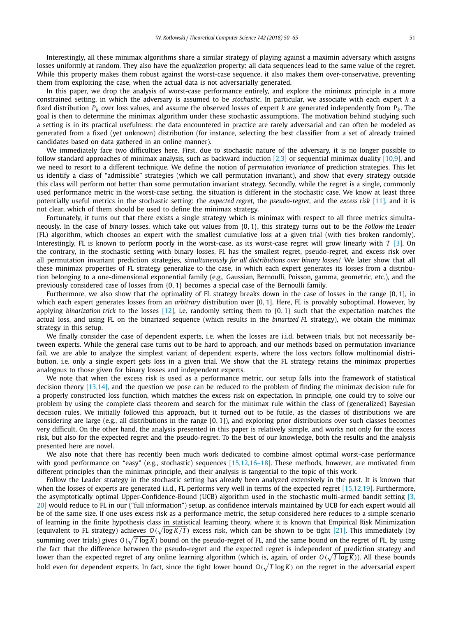Interestingly, all these minimax algorithms share a similar strategy of playing against a maximin adversary which assigns losses uniformly at random. They also have the *equalization* property: all data sequences lead to the same value of the regret. While this property makes them robust against the worst-case sequence, it also makes them over-conservative, preventing them from exploiting the case, when the actual data is not adversarially generated.

In this paper, we drop the analysis of worst-case performance entirely, and explore the minimax principle in a more constrained setting, in which the adversary is assumed to be *stochastic*. In particular, we associate with each expert *k* a fixed distribution *Pk* over loss values, and assume the observed losses of expert *k* are generated independently from *Pk*. The goal is then to determine the minimax algorithm under these stochastic assumptions. The motivation behind studying such a setting is in its practical usefulness: the data encountered in practice are rarely adversarial and can often be modeled as generated from a fixed (yet unknown) distribution (for instance, selecting the best classifier from a set of already trained candidates based on data gathered in an online manner).

We immediately face two difficulties here. First, due to stochastic nature of the adversary, it is no longer possible to follow standard approaches of minimax analysis, such as backward induction  $[2,3]$  or sequential minimax duality  $[10,9]$ , and we need to resort to a different technique. We define the notion of *permutation invariance* of prediction strategies. This let us identify a class of "admissible" strategies (which we call permutation invariant), and show that every strategy outside this class will perform not better than some permutation invariant strategy. Secondly, while the regret is a single, commonly used performance metric in the worst-case setting, the situation is different in the stochastic case. We know at least three potentially useful metrics in the stochastic setting: the *expected regret*, the *pseudo-regret*, and the *excess risk* [\[11\],](#page-15-0) and it is not clear, which of them should be used to define the minimax strategy.

Fortunately, it turns out that there exists a single strategy which is minimax with respect to all three metrics simultaneously. In the case of *binary* losses, which take out values from {0*,* 1}, this strategy turns out to be the *Follow the Leader* (FL) algorithm, which chooses an expert with the smallest cumulative loss at a given trial (with ties broken randomly). Interestingly, FL is known to perform poorly in the worst-case, as its worst-case regret will grow linearly with *T* [\[3\].](#page-14-0) On the contrary, in the stochastic setting with binary losses, FL has the smallest regret, pseudo-regret, and excess risk over all permutation invariant prediction strategies, *simultaneously for all distributions over binary losses!* We later show that all these minimax properties of FL strategy generalize to the case, in which each expert generates its losses from a distribution belonging to a one-dimensional exponential family (e.g., Gaussian, Bernoulli, Poisson, gamma, geometric, etc.), and the previously considered case of losses from {0*,* 1} becomes a special case of the Bernoulli family.

Furthermore, we also show that the optimality of FL strategy breaks down in the case of losses in the range [0*,* 1], in which each expert generates losses from an *arbitrary* distribution over [0*,* 1]. Here, FL is provably suboptimal. However, by applying *binarization trick* to the losses [\[12\],](#page-15-0) i.e. randomly setting them to {0*,* 1} such that the expectation matches the actual loss, and using FL on the binarized sequence (which results in the *binarized FL* strategy), we obtain the minimax strategy in this setup.

We finally consider the case of dependent experts, i.e. when the losses are i.i.d. between trials, but not necessarily between experts. While the general case turns out to be hard to approach, and our methods based on permutation invariance fail, we are able to analyze the simplest variant of dependent experts, where the loss vectors follow multinomial distribution, i.e. only a single expert gets loss in a given trial. We show that the FL strategy retains the minimax properties analogous to those given for binary losses and independent experts.

We note that when the excess risk is used as a performance metric, our setup falls into the framework of statistical decision theory [\[13,14\],](#page-15-0) and the question we pose can be reduced to the problem of finding the minimax decision rule for a properly constructed loss function, which matches the excess risk on expectation. In principle, one could try to solve our problem by using the complete class theorem and search for the minimax rule within the class of (generalized) Bayesian decision rules. We initially followed this approach, but it turned out to be futile, as the classes of distributions we are considering are large (e.g., all distributions in the range [0*,* 1]), and exploring prior distributions over such classes becomes very difficult. On the other hand, the analysis presented in this paper is relatively simple, and works not only for the excess risk, but also for the expected regret and the pseudo-regret. To the best of our knowledge, both the results and the analysis presented here are novel.

We also note that there has recently been much work dedicated to combine almost optimal worst-case performance with good performance on "easy" (e.g., stochastic) sequences [15,12,16-18]. These methods, however, are motivated from different principles than the minimax principle, and their analysis is tangential to the topic of this work.

Follow the Leader strategy in the stochastic setting has already been analyzed extensively in the past. It is known that when the losses of experts are generated i.i.d., FL performs very well in terms of the expected regret [\[15,12,19\].](#page-15-0) Furthermore, the asymptotically optimal Upper-Confidence-Bound (UCB) algorithm used in the stochastic multi-armed bandit setting [\[3,](#page-14-0) [20\]](#page-14-0) would reduce to FL in our ("full information") setup, as confidence intervals maintained by UCB for each expert would all be of the same size. If one uses excess risk as a performance metric, the setup considered here reduces to a simple scenario of learning in the finite hypothesis class in statistical learning theory, where it is known that Empirical Risk Minimization (equivalent to FL strategy) achieves  $O(\sqrt{\log K/T})$  excess risk, which can be shown to be tight [\[21\].](#page-15-0) This immediately (by summing over trials) gives  $O(\sqrt{T\log K})$  bound on the pseudo-regret of FL, and the same bound on the regret of FL, by using the fact that the difference between the pseudo-regret and the expected regret is independent of prediction strategy and lower than the expected regret of any online learning algorithm (which is, again, of order  $O(\sqrt{T \log K})$ ). All these bounds hold even for dependent experts. In fact, since the tight lower bound  $\Omega(\sqrt{T\log K})$  on the regret in the adversarial expert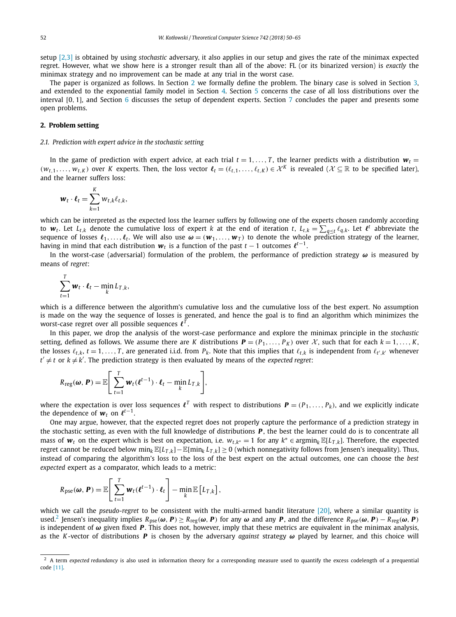setup [\[2,3\]](#page-14-0) is obtained by using *stochastic* adversary, it also applies in our setup and gives the rate of the minimax expected regret. However, what we show here is a stronger result than all of the above: FL (or its binarized version) is *exactly* the minimax strategy and no improvement can be made at any trial in the worst case.

The paper is organized as follows. In Section 2 we formally define the problem. The binary case is solved in Section [3,](#page-5-0) and extended to the exponential family model in Section [4.](#page-6-0) Section [5](#page-8-0) concerns the case of all loss distributions over the interval [0*,* 1], and Section [6](#page-11-0) discusses the setup of dependent experts. Section [7](#page-12-0) concludes the paper and presents some open problems.

#### **2. Problem setting**

#### *2.1. Prediction with expert advice in the stochastic setting*

In the game of prediction with expert advice, at each trial  $t = 1, \ldots, T$ , the learner predicts with a distribution  $w_t =$  $(w_{t,1},..., w_{t,K})$  over K experts. Then, the loss vector  $\ell_t = (\ell_{t,1},..., \ell_{t,K}) \in \mathcal{X}^K$  is revealed  $(\mathcal{X} \subseteq \mathbb{R}$  to be specified later), and the learner suffers loss:

$$
\mathbf{w}_t \cdot \boldsymbol{\ell}_t = \sum_{k=1}^K w_{t,k} \ell_{t,k},
$$

which can be interpreted as the expected loss the learner suffers by following one of the experts chosen randomly according to  $w_t$ . Let  $L_{t,k}$  denote the cumulative loss of expert k at the end of iteration t,  $L_{t,k} = \sum_{q\leq t} \ell_{q,k}$ . Let  $\ell^t$  abbreviate the sequence of losses  $\ell_1,\ldots,\ell_t.$  We will also use  $\omega=(w_1,\ldots,w_T)$  to denote the whole prediction strategy of the learner, having in mind that each distribution  $w_t$  is a function of the past  $t-1$  outcomes  $\ell^{t-1}$ .

In the worst-case (adversarial) formulation of the problem, the performance of prediction strategy *ω* is measured by means of *regret*:

$$
\sum_{t=1}^T \mathbf{w}_t \cdot \mathbf{\ell}_t - \min_k L_{T,k},
$$

which is a difference between the algorithm's cumulative loss and the cumulative loss of the best expert. No assumption is made on the way the sequence of losses is generated, and hence the goal is to find an algorithm which minimizes the worst-case regret over all possible sequences  $\boldsymbol{\ell}^T.$ 

In this paper, we drop the analysis of the worst-case performance and explore the minimax principle in the *stochastic* setting, defined as follows. We assume there are *K* distributions  $P = (P_1, \ldots, P_K)$  over  $\mathcal{X}$ , such that for each  $k = 1, \ldots, K$ , the losses  $\ell_{t,k}$ ,  $t = 1, \ldots, T$ , are generated i.i.d. from  $P_k$ . Note that this implies that  $\ell_{t,k}$  is independent from  $\ell_{t',k'}$  whenever  $t' \neq t$  or  $k \neq k'$ . The prediction strategy is then evaluated by means of the *expected regret*:

$$
R_{\text{reg}}(\boldsymbol{\omega}, \boldsymbol{P}) = \mathbb{E}\Bigg[\sum_{t=1}^T \boldsymbol{w}_t(\boldsymbol{\ell}^{t-1})\cdot \boldsymbol{\ell}_t - \min_k L_{T,k}\Bigg],
$$

where the expectation is over loss sequences  $\ell^T$  with respect to distributions  $\bm P=(P_1,\ldots,P_k)$ , and we explicitly indicate the dependence of  $w_t$  on  $\ell^{t-1}$ .

One may argue, however, that the expected regret does not properly capture the performance of a prediction strategy in the stochastic setting, as even with the full knowledge of distributions *P* , the best the learner could do is to concentrate all mass of  $w_t$  on the expert which is best on expectation, i.e.  $w_{t,k^*} = 1$  for any  $k^* \in \operatorname{argmin}_k \mathbb{E}[L_{T,k}]$ . Therefore, the expected regret cannot be reduced below  $\min_k \mathbb{E}[L_{T,k}] - \mathbb{E}[\min_k L_{T,k}] \ge 0$  (which nonnegativity follows from Jensen's inequality). Thus, instead of comparing the algorithm's loss to the loss of the best expert on the actual outcomes, one can choose the *best expected* expert as a comparator, which leads to a metric:

$$
R_{\text{pse}}(\boldsymbol{\omega}, \boldsymbol{P}) = \mathbb{E}\Bigg[\sum_{t=1}^T \boldsymbol{w}_t(\boldsymbol{\ell}^{t-1}) \cdot \boldsymbol{\ell}_t\Bigg] - \min_k \mathbb{E}\big[L_{T,k}\big],
$$

which we call the *pseudo-regret* to be consistent with the multi-armed bandit literature [\[20\],](#page-15-0) where a similar quantity is used.<sup>2</sup> Jensen's inequality implies  $R_{\text{pse}}(\omega, \mathbf{P}) \ge R_{\text{reg}}(\omega, \mathbf{P})$  for any  $\omega$  and any  $\mathbf{P}$ , and the difference  $R_{\text{pse}}(\omega, \mathbf{P}) - R_{\text{reg}}(\omega, \mathbf{P})$ is independent of *ω* given fixed *P*. This does not, however, imply that these metrics are equivalent in the minimax analysis, as the *K*-vector of distributions *P* is chosen by the adversary *against* strategy *ω* played by learner, and this choice will

<sup>2</sup> A term *expected redundancy* is also used in information theory for a corresponding measure used to quantify the excess codelength of a prequential code [\[11\].](#page-15-0)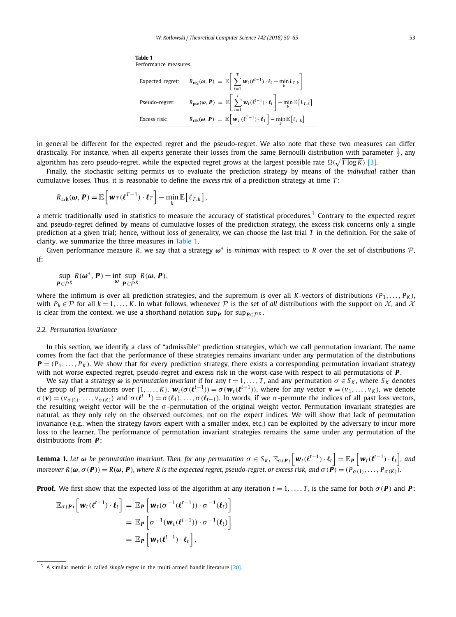**Table 1** Performance measures.

| Expected regret: | $R_{\text{reg}}(\boldsymbol{\omega}, \boldsymbol{P}) = \mathbb{E}\left[\sum_{t=1}^{I} \boldsymbol{w}_t(\boldsymbol{\ell}^{t-1}) \cdot \boldsymbol{\ell}_t - \min_k L_{T,k}\right]$                        |
|------------------|-----------------------------------------------------------------------------------------------------------------------------------------------------------------------------------------------------------|
| Pseudo-regret:   | $R_{\text{pse}}(\boldsymbol{\omega}, \boldsymbol{P}) = \mathbb{E}\left[\sum_{t=1}^{T} \boldsymbol{w}_t(\boldsymbol{\ell}^{t-1}) \cdot \boldsymbol{\ell}_t\right] - \min_k \mathbb{E}\left[L_{T,k}\right]$ |
| Excess risk:     | $R_{\text{rsk}}(\boldsymbol{\omega}, \boldsymbol{P}) = \mathbb{E} \left[ \boldsymbol{w}_T(\boldsymbol{\ell}^{T-1}) \cdot \boldsymbol{\ell}_T \right] - \min_{k} \mathbb{E} \left[ \ell_{T,k} \right]$     |

<span id="page-3-0"></span>in general be different for the expected regret and the pseudo-regret. We also note that these two measures can differ drastically. For instance, when all experts generate their losses from the same Bernoulli distribution with parameter  $\frac{1}{2}$ , any algorithm has zero pseudo-regret, while the expected regret grows at the largest possible rate  $\Omega(\sqrt{T\log K})$  [\[3\].](#page-14-0)

Finally, the stochastic setting permits us to evaluate the prediction strategy by means of the *individual* rather than cumulative losses. Thus, it is reasonable to define the *excess risk* of a prediction strategy at time *T* :

$$
R_{\text{rsk}}(\boldsymbol{\omega},\boldsymbol{P}) = \mathbb{E}\left[\boldsymbol{w}_T(\boldsymbol{\ell}^{T-1})\cdot\boldsymbol{\ell}_T\right] - \min_k \mathbb{E}\left[\ell_{T,k}\right],
$$

a metric traditionally used in statistics to measure the accuracy of statistical procedures.<sup>3</sup> Contrary to the expected regret and pseudo-regret defined by means of cumulative losses of the prediction strategy, the excess risk concerns only a single prediction at a given trial; hence, without loss of generality, we can choose the last trial *T* in the definition. For the sake of clarity, we summarize the three measures in Table 1.

Given performance measure *R*, we say that a strategy  $\omega^*$  is *minimax* with respect to *R* over the set of distributions  $P$ , if:

$$
\sup_{\mathbf{P}\in\mathcal{P}^K} R(\boldsymbol{\omega}^*, \mathbf{P}) = \inf_{\boldsymbol{\omega}} \sup_{\mathbf{P}\in\mathcal{P}^K} R(\boldsymbol{\omega}, \mathbf{P}),
$$

where the infimum is over all prediction strategies, and the supremum is over all *K*-vectors of distributions  $(P_1, \ldots, P_K)$ , with  $P_k \in \mathcal{P}$  for all  $k = 1, \ldots, K$ . In what follows, whenever  $\mathcal{P}$  is the set of *all* distributions with the support on  $\mathcal{X}$ , and  $\mathcal{X}$ is clear from the context, we use a shorthand notation sup<sub>*P*</sub> for sup<sub>*P*∈ $\mathcal{P}^{K}$ </sub>.

#### *2.2. Permutation invariance*

In this section, we identify a class of "admissible" prediction strategies, which we call permutation invariant. The name comes from the fact that the performance of these strategies remains invariant under any permutation of the distributions  $P = (P_1, \ldots, P_K)$ . We show that for every prediction strategy, there exists a corresponding permutation invariant strategy with not worse expected regret, pseudo-regret and excess risk in the worst-case with respect to all permutations of **P**.

We say that a strategy  $\omega$  is *permutation invariant* if for any  $t=1,\ldots,T$ , and any permutation  $\sigma\in S_K$ , where  $S_K$  denotes the group of permutations over  $\{1,\ldots,K\}$ ,  $\bm{w}_t(\sigma(\bm{\ell}^{t-1}))=\sigma(\bm{w}_t(\bm{\ell}^{t-1}))$ , where for any vector  $\bm{v}=(v_1,\ldots,v_K)$ , we denote  $\sigma(\nu)=(v_{\sigma(1)},\ldots,v_{\sigma(K)})$  and  $\sigma(\ell^{t-1})=\sigma(\ell_1),\ldots,\sigma(\ell_{t-1})$ . In words, if we  $\sigma$ -permute the indices of all past loss vectors, the resulting weight vector will be the *σ* -permutation of the original weight vector. Permutation invariant strategies are natural, as they only rely on the observed outcomes, not on the expert indices. We will show that lack of permutation invariance (e.g., when the strategy favors expert with a smaller index, etc.) can be exploited by the adversary to incur more loss to the learner. The performance of permutation invariant strategies remains the same under any permutation of the distributions from *P*:

**Lemma 1.** Let  $\omega$  be permutation invariant. Then, for any permutation  $\sigma \in S_K$ ,  $\mathbb{E}_{\sigma(P)}\big[\bm{w}_t(\bm{\ell}^{t-1})\cdot\bm{\ell}_t\big]=\mathbb{E}_{\bm{P}}\big[\bm{w}_t(\bm{\ell}^{t-1})\cdot\bm{\ell}_t\big]$ , and moreover  $R(\bm{\omega},\sigma(\bm{P}))=R(\bm{\omega},\bm{P})$ , where R is the expected regret, pseudo-regret, or excess risk, and  $\sigma(\bm{P})=(P_{\sigma(1)},\ldots,P_{\sigma(K)})$ .

**Proof.** We first show that the expected loss of the algorithm at any iteration  $t = 1, \ldots, T$ , is the same for both  $\sigma(P)$  and P:

$$
\mathbb{E}_{\sigma(\mathbf{P})}\left[\mathbf{w}_t(\ell^{t-1})\cdot\boldsymbol{\ell}_t\right] = \mathbb{E}_{\mathbf{P}}\left[\mathbf{w}_t(\sigma^{-1}(\ell^{t-1}))\cdot\sigma^{-1}(\boldsymbol{\ell}_t)\right]
$$

$$
= \mathbb{E}_{\mathbf{P}}\left[\sigma^{-1}(\mathbf{w}_t(\ell^{t-1}))\cdot\sigma^{-1}(\boldsymbol{\ell}_t)\right]
$$

$$
= \mathbb{E}_{\mathbf{P}}\left[\mathbf{w}_t(\ell^{t-1})\cdot\boldsymbol{\ell}_t\right],
$$

<sup>&</sup>lt;sup>3</sup> A similar metric is called *simple regret* in the multi-armed bandit literature [\[20\].](#page-15-0)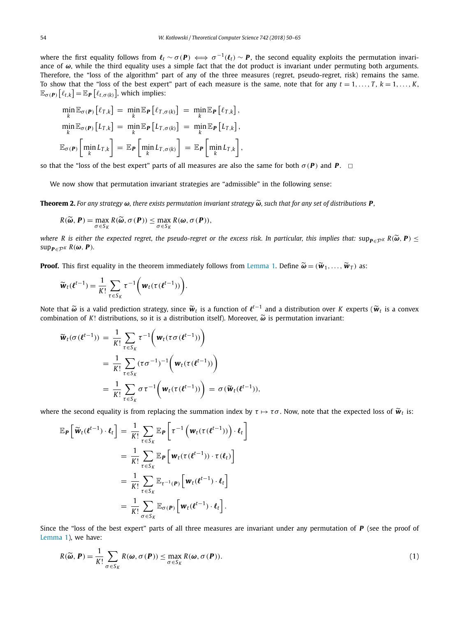<span id="page-4-0"></span>where the first equality follows from  $\ell_t \sim \sigma(P) \iff \sigma^{-1}(\ell_t) \sim P$ , the second equality exploits the permutation invariance of *ω*, while the third equality uses a simple fact that the dot product is invariant under permuting both arguments. Therefore, the "loss of the algorithm" part of any of the three measures (regret, pseudo-regret, risk) remains the same. To show that the "loss of the best expert" part of each measure is the same, note that for any  $t = 1, \ldots, T$ ,  $k = 1, \ldots, K$ ,  $\mathbb{E}_{\sigma(\mathbf{P})}\left[\ell_{t,k}\right] = \mathbb{E}_{\mathbf{P}}\left[\ell_{t,\sigma(k)}\right]$ , which implies:

$$
\min_{k} \mathbb{E}_{\sigma(\mathbf{P})} [\ell_{T,k}] = \min_{k} \mathbb{E}_{\mathbf{P}} [\ell_{T,\sigma(k)}] = \min_{k} \mathbb{E}_{\mathbf{P}} [\ell_{T,k}],
$$
  
\n
$$
\min_{k} \mathbb{E}_{\sigma(\mathbf{P})} [L_{T,k}] = \min_{k} \mathbb{E}_{\mathbf{P}} [L_{T,\sigma(k)}] = \min_{k} \mathbb{E}_{\mathbf{P}} [L_{T,k}],
$$
  
\n
$$
\mathbb{E}_{\sigma(\mathbf{P})} [\min_{k} L_{T,k}] = \mathbb{E}_{\mathbf{P}} [\min_{k} L_{T,\sigma(k)}] = \mathbb{E}_{\mathbf{P}} [\min_{k} L_{T,k}],
$$

so that the "loss of the best expert" parts of all measures are also the same for both  $\sigma(P)$  and P.  $\Box$ 

We now show that permutation invariant strategies are "admissible" in the following sense:

**Theorem 2.** For any strategy  $\omega$ , there exists permutation invariant strategy  $\tilde{\omega}$ , such that for any set of distributions **P**,

$$
R(\widetilde{\boldsymbol{\omega}}, \boldsymbol{P}) = \max_{\sigma \in S_K} R(\widetilde{\boldsymbol{\omega}}, \sigma(\boldsymbol{P})) \le \max_{\sigma \in S_K} R(\boldsymbol{\omega}, \sigma(\boldsymbol{P})),
$$

where R is either the expected regret, the pseudo-regret or the excess risk. In particular, this implies that:  $sup_{P \in \mathcal{P}^K} R(\widetilde{\omega}, P)$  <  $sup_{P \in \mathcal{P}^K} R(\omega, P)$ *.* 

**Proof.** This first equality in the theorem immediately follows from [Lemma 1.](#page-3-0) Define  $\widetilde{\omega} = (\widetilde{w}_1, \ldots, \widetilde{w}_T)$  as:

$$
\widetilde{\boldsymbol{w}}_t(\boldsymbol{\ell}^{t-1}) = \frac{1}{K!} \sum_{\tau \in S_K} \tau^{-1} \bigg( \boldsymbol{w}_t(\tau(\boldsymbol{\ell}^{t-1})) \bigg).
$$

Note that  $\widetilde{\omega}$  is a valid prediction strategy, since  $\widetilde{\mathbf{w}}_t$  is a function of  $\ell^{t-1}$  and a distribution over *K* experts ( $\widetilde{\mathbf{w}}_t$  is a convex combination of *K*! distributions so it is a distribution combination of *<sup>K</sup>*! distributions, so it is <sup>a</sup> distribution itself). Moreover, *<sup>ω</sup>* is permutation invariant:

$$
\widetilde{\mathbf{w}}_t(\sigma(\boldsymbol{\ell}^{t-1})) = \frac{1}{K!} \sum_{\tau \in S_K} \tau^{-1} \Big( \mathbf{w}_t(\tau \sigma(\boldsymbol{\ell}^{t-1})) \Big) \n= \frac{1}{K!} \sum_{\tau \in S_K} (\tau \sigma^{-1})^{-1} \Big( \mathbf{w}_t(\tau(\boldsymbol{\ell}^{t-1})) \Big) \n= \frac{1}{K!} \sum_{\tau \in S_K} \sigma \tau^{-1} \Big( \mathbf{w}_t(\tau(\boldsymbol{\ell}^{t-1})) \Big) = \sigma(\widetilde{\mathbf{w}}_t(\boldsymbol{\ell}^{t-1})),
$$

where the second equality is from replacing the summation index by  $\tau \mapsto \tau \sigma$ . Now, note that the expected loss of  $\tilde{w}_t$  is:

$$
\mathbb{E}_{\boldsymbol{P}}\left[\widetilde{\boldsymbol{w}}_t(\boldsymbol{\ell}^{t-1})\cdot\boldsymbol{\ell}_t\right] = \frac{1}{K!} \sum_{\tau \in S_K} \mathbb{E}_{\boldsymbol{P}}\left[\tau^{-1}\left(\boldsymbol{w}_t(\tau(\boldsymbol{\ell}^{t-1}))\right)\cdot\boldsymbol{\ell}_t\right]
$$

$$
= \frac{1}{K!} \sum_{\tau \in S_K} \mathbb{E}_{\boldsymbol{P}}\left[\boldsymbol{w}_t(\tau(\boldsymbol{\ell}^{t-1}))\cdot\tau(\boldsymbol{\ell}_t)\right]
$$

$$
= \frac{1}{K!} \sum_{\tau \in S_K} \mathbb{E}_{\tau^{-1}(\boldsymbol{P})}\left[\boldsymbol{w}_t(\boldsymbol{\ell}^{t-1})\cdot\boldsymbol{\ell}_t\right]
$$

$$
= \frac{1}{K!} \sum_{\sigma \in S_K} \mathbb{E}_{\sigma(\boldsymbol{P})}\left[\boldsymbol{w}_t(\boldsymbol{\ell}^{t-1})\cdot\boldsymbol{\ell}_t\right].
$$

Since the "loss of the best expert" parts of all three measures are invariant under any permutation of *P* (see the proof of [Lemma 1\)](#page-3-0), we have:

$$
R(\widetilde{\boldsymbol{\omega}}, \boldsymbol{P}) = \frac{1}{K!} \sum_{\sigma \in S_K} R(\boldsymbol{\omega}, \sigma(\boldsymbol{P})) \le \max_{\sigma \in S_K} R(\boldsymbol{\omega}, \sigma(\boldsymbol{P})).
$$
\n(1)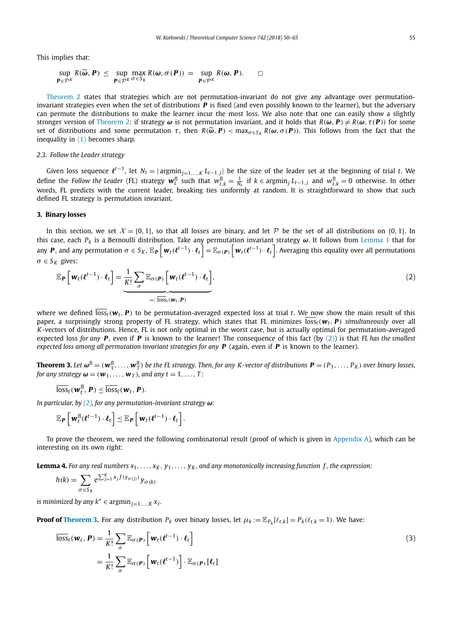<span id="page-5-0"></span>This implies that:

$$
\sup_{\mathbf{P}\in\mathcal{P}^K} R(\widetilde{\boldsymbol{\omega}}, \mathbf{P}) \leq \sup_{\mathbf{P}\in\mathcal{P}^K} \max_{\sigma\in S_K} R(\boldsymbol{\omega}, \sigma(\mathbf{P})) = \sup_{\mathbf{P}\in\mathcal{P}^K} R(\boldsymbol{\omega}, \mathbf{P}). \square
$$

[Theorem 2](#page-4-0) states that strategies which are not permutation-invariant do not give any advantage over permutationinvariant strategies even when the set of distributions *P* is fixed (and even possibly known to the learner), but the adversary can permute the distributions to make the learner incur the most loss. We also note that one can easily show a slightly stronger version of Theorem 2; if strategy  $\omega$  is not permutation invariant, and it holds that  $R(\omega, P) \neq R(\omega, \tau(P))$  for some set of distributions and some permutation  $\tau$ , then  $R(\tilde{\omega}, P) < \max_{\sigma \in S_{k}} R(\omega, \sigma(P))$ . This follows from the fact that the inequality in [\(1\)](#page-4-0) becomes sharp.

#### *2.3. Follow the Leader strategy*

Given loss sequence  $\ell^{t-1}$ , let  $N_t = |\operatorname{argmin}_{j=1,...,K} L_{t-1,j}|$  be the size of the leader set at the beginning of trial *t*. We define the Follow the Leader (FL) strategy  $\bm{w}_t^{\rm fl}$  such that  $w_{t,k}^{\rm fl}=\frac{1}{N_t}$  if  $k\in\mathop{{\rm argmin}}_j L_{t-1,j}$  and  $w_{t,k}^{\rm fl}=0$  otherwise. In other words, FL predicts with the current leader, breaking ties uniformly at random. It is straightforward to show that such defined FL strategy is permutation invariant.

#### **3. Binary losses**

In this section, we set  $\mathcal{X} = \{0, 1\}$ , so that all losses are binary, and let P be the set of all distributions on  $\{0, 1\}$ . In this case, each *Pk* is a Bernoulli distribution. Take any permutation invariant strategy *ω*. It follows from [Lemma 1](#page-3-0) that for any  $\bm P$ , and any permutation  $\sigma\in S_K$ ,  $\mathbb E_{\bm P}\left[\bm w_t(\bm\ell^{t-1})\cdot\bm\ell_t\right]=\mathbb E_{\sigma(\bm P)}\left[\bm w_t(\bm\ell^{t-1})\cdot\bm\ell_t\right]$ . Averaging this equality over all permutations  $\sigma \in S_K$  gives:

$$
\mathbb{E}_{\boldsymbol{P}}\left[\boldsymbol{w}_t(\boldsymbol{\ell}^{t-1})\cdot\boldsymbol{\ell}_t\right] = \underbrace{\frac{1}{K!}\sum_{\sigma}\mathbb{E}_{\sigma(\boldsymbol{P})}\left[\boldsymbol{w}_t(\boldsymbol{\ell}^{t-1})\cdot\boldsymbol{\ell}_t\right]}_{=: \overbrace{\text{loss}_{t}(\boldsymbol{w}_t,\boldsymbol{P})}},\tag{2}
$$

where we defined  $\overline{\text{loss}}_t(\textbf{w}_t, \textbf{P})$  to be permutation-averaged expected loss at trial *t*. We now show the main result of this paper, a surprisingly strong property of FL strategy, which states that FL minimizes  $\text{loss}_t(\mathbf{w}_t, \mathbf{P})$  *simultaneously* over all *K*-vectors of distributions. Hence, FL is not only optimal in the worst case, but is actually optimal for permutation-averaged expected loss *for any P*, even if *P* is known to the learner! The consequence of this fact (by (2)) is that *FL has the smallest expected loss among all permutation invariant strategies for any P* (again, even if *P* is known to the learner).

**Theorem 3.** Let  $\bm{\omega}^{\rm fl}=(\bm{w}_1^{\rm fl},\ldots,\bm{w}_T^{\rm fl})$  be the FL strategy. Then, for any K-vector of distributions  $\bm{P}=(P_1,\ldots,P_K)$  over binary losses, *for any strategy*  $\boldsymbol{\omega} = (\boldsymbol{w}_1, \dots, \boldsymbol{w}_T)$ *, and any*  $t = 1, \dots, T$ :

$$
\overline{\text{loss}}_t(\boldsymbol{w}_t^{\text{fl}},\boldsymbol{P}) \leq \overline{\text{loss}}_t(\boldsymbol{w}_t,\boldsymbol{P}).
$$

*In particular, by (2), for any permutation-invariant strategy ω:*

$$
\mathbb{E}_{\boldsymbol{P}}\left[\boldsymbol{w}_t^{\text{fl}}(\boldsymbol{\ell}^{t-1})\cdot\boldsymbol{\ell}_t\right] \leq \mathbb{E}_{\boldsymbol{P}}\left[\boldsymbol{w}_t(\boldsymbol{\ell}^{t-1})\cdot\boldsymbol{\ell}_t\right].
$$

To prove the theorem, we need the following combinatorial result (proof of which is given in [Appendix A\)](#page-12-0), which can be interesting on its own right:

**Lemma 4.** For any real numbers  $x_1, \ldots, x_K, y_1, \ldots, y_K$ , and any monotonically increasing function f, the expression:

$$
h(k) = \sum_{\sigma \in S_K} e^{\sum_{j=1}^K x_j f(y_{\sigma(j)})} y_{\sigma(k)}
$$

*is minimized by any*  $k^*$  ∈ argmin<sub>*j*=1*,...,K x<sub>j</sub>*.</sub>

**Proof of Theorem 3.** For any distribution  $P_k$  over binary losses, let  $\mu_k := \mathbb{E}_{P_k}[\ell_{t,k}] = P_k(\ell_{t,k} = 1)$ . We have:

$$
\overline{\text{loss}}_t(\boldsymbol{w}_t, \boldsymbol{P}) = \frac{1}{K!} \sum_{\sigma} \mathbb{E}_{\sigma(\boldsymbol{P})} \left[ \boldsymbol{w}_t(\boldsymbol{\ell}^{t-1}) \cdot \boldsymbol{\ell}_t \right]
$$
\n
$$
= \frac{1}{K!} \sum_{\sigma} \mathbb{E}_{\sigma(\boldsymbol{P})} \left[ \boldsymbol{w}_t(\boldsymbol{\ell}^{t-1}) \right] \cdot \mathbb{E}_{\sigma(\boldsymbol{P})} \left[ \boldsymbol{\ell}_t \right]
$$
\n(3)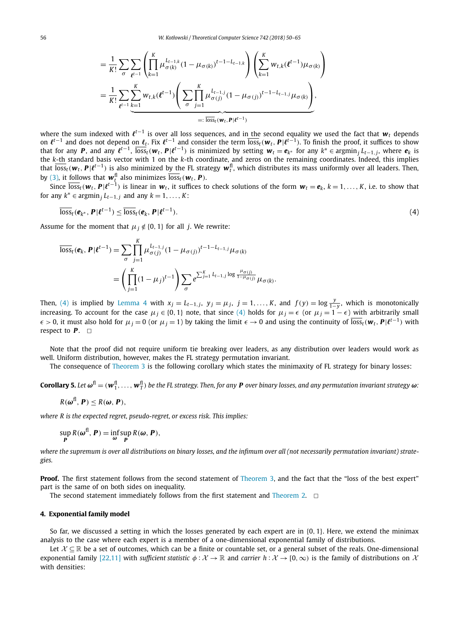<span id="page-6-0"></span>
$$
= \frac{1}{K!} \sum_{\sigma} \sum_{\ell^{t-1}} \left( \prod_{k=1}^{K} \mu_{\sigma(k)}^{L_{t-1,k}} (1 - \mu_{\sigma(k)})^{t-1-L_{t-1,k}} \right) \left( \sum_{k=1}^{K} w_{t,k} (\ell^{t-1}) \mu_{\sigma(k)} \right)
$$
  

$$
= \frac{1}{K!} \sum_{\ell^{t-1}} \sum_{k=1}^{K} w_{t,k} (\ell^{t-1}) \left( \sum_{\sigma} \prod_{j=1}^{K} \mu_{\sigma(j)}^{L_{t-1,j}} (1 - \mu_{\sigma(j)})^{t-1-L_{t-1,j}} \mu_{\sigma(k)} \right),
$$
  

$$
= \overline{\log_{t}(w_{t}, P | \ell^{t-1})}
$$

where the sum indexed with  $\ell^{t-1}$  is over all loss sequences, and in the second equality we used the fact that  $w_t$  depends on  $\ell^{t-1}$  and does not depend on  $\ell_t$ . Fix  $\ell^{t-1}$  and consider the term  $\overline{{\rm loss}}_t(w_t, P|\ell^{t-1})$ . To finish the proof, it suffices to show that for any P, and any  $\ell^{t-1}$ ,  $\overline{\text{loss}}_t(w_t, P|\ell^{t-1})$  is minimized by setting  $w_t = e_{k^*}$  for any  $k^* \in \text{argmin}_j L_{t-1,j}$ , where  $e_k$  is the *k*-th standard basis vector with 1 on the *k*-th coordinate, and zeros on the remaining coordinates. Indeed, this implies that  $\overline{loss}_t(w_t, P|\ell^{t-1})$  is also minimized by the FL strategy  $w_t^{\text{fl}}$ , which distributes its mass uniformly over all leaders. Then, by [\(3\),](#page-5-0) it <u>foll</u>ows that  $\boldsymbol{w}_t^{\text{fl}}$  also minimizes  $\overline{\text{loss}}_t(\boldsymbol{w}_t, \boldsymbol{P})$ .

Since  $\overline{loss}_t(\bm{w}_t,\bm{P}|\bm{\ell}^{t-1})$  is linear in  $\bm{w}_t$ , it suffices to check solutions of the form  $\bm{w}_t=\bm{e}_k$ ,  $k=1,\ldots,K$ , i.e. to show that for any  $k^* \in \text{argmin}_i L_{t-1,i}$  and any  $k = 1, \ldots, K$ :

$$
\overline{\text{loss}}_t(\boldsymbol{e}_{k^*}, \boldsymbol{P}|\boldsymbol{\ell}^{t-1}) \leq \overline{\text{loss}}_t(\boldsymbol{e}_k, \boldsymbol{P}|\boldsymbol{\ell}^{t-1}).
$$
\n(4)

Assume for the moment that  $\mu_j \notin \{0, 1\}$  for all *j*. We rewrite:

$$
\overline{\text{loss}}_t(\mathbf{e}_k, \mathbf{P}|\boldsymbol{\ell}^{t-1}) = \sum_{\sigma} \prod_{j=1}^K \mu_{\sigma(j)}^{L_{t-1,j}} (1 - \mu_{\sigma(j)})^{t-1-L_{t-1,j}} \mu_{\sigma(k)}
$$
  
= 
$$
\left( \prod_{j=1}^K (1 - \mu_j)^{t-1} \right) \sum_{\sigma} e^{\sum_{j=1}^K L_{t-1,j} \log \frac{\mu_{\sigma(j)}}{1 - \mu_{\sigma(j)}}} \mu_{\sigma(k)}.
$$

Then, (4) is implied by [Lemma 4](#page-5-0) with  $x_j = L_{t-1,j}$ ,  $y_j = \mu_j$ ,  $j = 1, ..., K$ , and  $f(y) = \log \frac{y}{1-y}$ , which is monotonically increasing. To account for the case  $\mu_j \in \{0, 1\}$  note, that since (4) holds for  $\mu_j = \epsilon$  (or  $\mu_j = 1 - \epsilon$ ) with arbitrarily small  $\epsilon > 0$ , it must also hold for  $\mu_j = 0$  (or  $\mu_j = 1$ ) by taking the limit  $\epsilon \to 0$  and using the continuity of  $\overline{\text{loss}}_t(w_t, P|\ell^{t-1})$  with respect to  $P$ .  $\Box$ 

Note that the proof did not require uniform tie breaking over leaders, as any distribution over leaders would work as well. Uniform distribution, however, makes the FL strategy permutation invariant.

The consequence of [Theorem 3](#page-5-0) is the following corollary which states the minimaxity of FL strategy for binary losses:

**Corollary 5.** Let  $\omega^{\rm fl}=(w_1^{\rm fl},\ldots,w_T^{\rm fl})$  be the FL strategy. Then, for any  $\bm P$  over binary losses, and any permutation invariant strategy  $\omega$ :

$$
R(\boldsymbol{\omega}^{\text{fl}},\boldsymbol{P})\leq R(\boldsymbol{\omega},\boldsymbol{P}),
$$

*where R is the expected regret, pseudo-regret, or excess risk. This implies:*

$$
\sup_{\mathbf{P}} R(\boldsymbol{\omega}^{\mathrm{fl}}, \mathbf{P}) = \inf_{\boldsymbol{\omega}} \sup_{\mathbf{P}} R(\boldsymbol{\omega}, \mathbf{P}),
$$

where the supremum is over all distributions on binary losses, and the infimum over all (not necessarily permutation invariant) strate*gies.*

**Proof.** The first statement follows from the second statement of [Theorem 3,](#page-5-0) and the fact that the "loss of the best expert" part is the same of on both sides on inequality.

The second statement immediately follows from the first statement and [Theorem 2.](#page-4-0)  $\Box$ 

#### **4. Exponential family model**

So far, we discussed a setting in which the losses generated by each expert are in {0*,* 1}. Here, we extend the minimax analysis to the case where each expert is a member of a one-dimensional exponential family of distributions.

Let  $\mathcal{X} \subseteq \mathbb{R}$  be a set of outcomes, which can be a finite or countable set, or a general subset of the reals. One-dimensional exponential family [\[22,11\]](#page-15-0) with *sufficient statistic*  $\phi : \mathcal{X} \to \mathbb{R}$  and *carrier*  $h : \mathcal{X} \to [0, \infty)$  is the family of distributions on X with densities: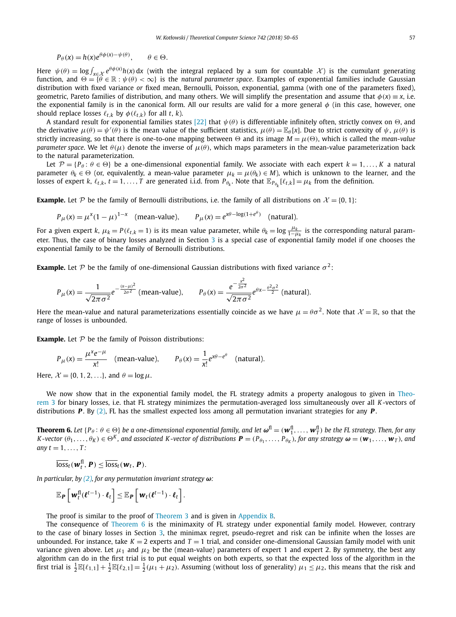<span id="page-7-0"></span>
$$
P_{\theta}(x) = h(x)e^{\theta \phi(x) - \psi(\theta)}, \qquad \theta \in \Theta.
$$

Here  $\psi(\theta) = \log \int_{x \in \mathcal{X}} e^{\theta \phi(x)} h(x) dx$  (with the integral replaced by a sum for countable X) is the cumulant generating  $\int_{\mathcal{X}} f(x) dx = \int_{\mathcal{X}} f(x) dx$  (with the integral replaced by a sum for countable X) is the cumulant function, and  $\Theta = {\theta \in \mathbb{R} : \psi(\theta) < \infty}$  is the *natural parameter space*. Examples of exponential families include Gaussian distribution with fixed variance *or* fixed mean, Bernoulli, Poisson, exponential, gamma (with one of the parameters fixed), geometric, Pareto families of distribution, and many others. We will simplify the presentation and assume that  $\phi(x) \equiv x$ , i.e. the exponential family is in the canonical form. All our results are valid for a more general *φ* (in this case, however, one should replace losses  $\ell_{t,k}$  by  $\phi(\ell_{t,k})$  for all *t*, *k*).

A standard result for exponential families states [\[22\]](#page-15-0) that *ψ(θ)* is differentiable infinitely often, strictly convex on , and the derivative  $\mu(\theta) = \psi'(\theta)$  is the mean value of the sufficient statistics,  $\mu(\theta) = \mathbb{E}_{\theta}[x]$ . Due to strict convexity of  $\psi$ ,  $\mu(\theta)$  is strictly increasing, so that there is one-to-one mapping between  $\Theta$  and its image  $M = \mu(\Theta)$ , which is called the *mean-value parameter space*. We let  $\theta(\mu)$  denote the inverse of  $\mu(\theta)$ , which maps parameters in the mean-value parameterization back to the natural parameterization.

Let  $\mathcal{P} = \{P_\theta : \theta \in \Theta\}$  be a one-dimensional exponential family. We associate with each expert  $k = 1, ..., K$  a natural parameter *θ<sup>k</sup>* ∈  (or, equivalently, a mean-value parameter *μ<sup>k</sup>* = *μ(θk)* ∈ *M*), which is unknown to the learner, and the losses of expert k,  $\ell_{t,k}$ ,  $t=1,\ldots,T$  are generated i.i.d. from  $P_{\theta_k}$ . Note that  $\mathbb{E}_{P_{\theta_k}}[\ell_{t,k}] = \mu_k$  from the definition.

**Example.** Let P be the family of Bernoulli distributions, i.e. the family of all distributions on  $\mathcal{X} = \{0, 1\}$ :

 $P_{\mu}(x) = \mu^{x}(1-\mu)^{1-x}$  (mean-value),  $P_{\mu}(x) = e^{x\theta - \log(1+e^{\theta})}$  (natural).

For a given expert k,  $\mu_k = P(\ell_{t,k} = 1)$  is its mean value parameter, while  $\theta_k = \log \frac{\mu_k}{1-\mu_k}$  is the corresponding natural parameter. Thus, the case of binary losses analyzed in Section [3](#page-5-0) is a special case of exponential family model if one chooses the exponential family to be the family of Bernoulli distributions.

**Example.** Let  $\mathcal{P}$  be the family of one-dimensional Gaussian distributions with fixed variance  $\sigma^2$ :

$$
P_{\mu}(x) = \frac{1}{\sqrt{2\pi\sigma^2}} e^{-\frac{(x-\mu)^2}{2\sigma^2}} \text{ (mean-value)}, \qquad P_{\theta}(x) = \frac{e^{-\frac{x^2}{2\sigma^2}}}{\sqrt{2\pi\sigma^2}} e^{\theta x - \frac{\theta^2 \sigma^2}{2}} \text{ (natural)}.
$$

Here the mean-value and natural parameterizations essentially coincide as we have  $\mu = \theta \sigma^2$ . Note that  $\mathcal{X} = \mathbb{R}$ , so that the range of losses is unbounded.

**Example.** Let  $P$  be the family of Poisson distributions:

$$
P_{\mu}(x) = \frac{\mu^{x}e^{-\mu}}{x!}
$$
 (mean-value),  $P_{\theta}(x) = \frac{1}{x!}e^{x\theta - e^{\theta}}$  (natural).

Here,  $\mathcal{X} = \{0, 1, 2, \ldots\}$ , and  $\theta = \log \mu$ .

We now show that in the exponential family model, the FL strategy admits a property analogous to given in [Theo](#page-5-0)[rem 3](#page-5-0) for binary losses, i.e. that FL strategy minimizes the permutation-averaged loss simultaneously over all *K*-vectors of distributions *P*. By [\(2\),](#page-5-0) FL has the smallest expected loss among all permutation invariant strategies for any *P* .

**Theorem 6.** Let  $\{P_\theta\colon \theta\in\Theta\}$  be a one-dimensional exponential family, and let  $\pmb\omega^\text{fl}=(\pmb w^\text{fl}_1,\dots,\pmb w^\text{fl}_T)$  be the FL strategy. Then, for any K-vector  $(\theta_1,\ldots,\theta_K)\in\Theta^K$ , and associated K-vector of distributions  $\bm P=(P_{\theta_1},\ldots,P_{\theta_K})$ , for any strategy  $\bm\omega=(\bm w_1,\ldots,\bm w_T)$ , and  $any \t t = 1, ..., T$ :

 $\overline{\text{loss}}_t(\textbf{\textit{w}}_t^{\text{fl}}, \textbf{\textit{P}}) \leq \overline{\text{loss}}_t(\textbf{\textit{w}}_t, \textbf{\textit{P}}).$ 

*In particular, by [\(2\),](#page-5-0) for any permutation invariant strategy ω:*

$$
\mathbb{E}_{\boldsymbol{P}}\left[\boldsymbol{w}_t^{\text{fl}}(\boldsymbol{\ell}^{t-1})\cdot\boldsymbol{\ell}_t\right] \leq \mathbb{E}_{\boldsymbol{P}}\left[\boldsymbol{w}_t(\boldsymbol{\ell}^{t-1})\cdot\boldsymbol{\ell}_t\right].
$$

The proof is similar to the proof of [Theorem 3](#page-5-0) and is given in [Appendix B.](#page-13-0)

The consequence of Theorem 6 is the minimaxity of FL strategy under exponential family model. However, contrary to the case of binary losses in Section [3,](#page-5-0) the minimax regret, pseudo-regret and risk can be infinite when the losses are unbounded. For instance, take *K* = 2 experts and *T* = 1 trial, and consider one-dimensional Gaussian family model with unit variance given above. Let  $\mu_1$  and  $\mu_2$  be the (mean-value) parameters of expert 1 and expert 2. By symmetry, the best any algorithm can do in the first trial is to put equal weights on both experts, so that the expected loss of the algorithm in the first trial is  $\frac{1}{2} \mathbb{E}[\ell_{1,1}] + \frac{1}{2} \mathbb{E}[\ell_{2,1}] = \frac{1}{2} (\mu_1 + \mu_2)$ . Assuming (without loss of generality)  $\mu_1 \le \mu_2$ , this means that the risk and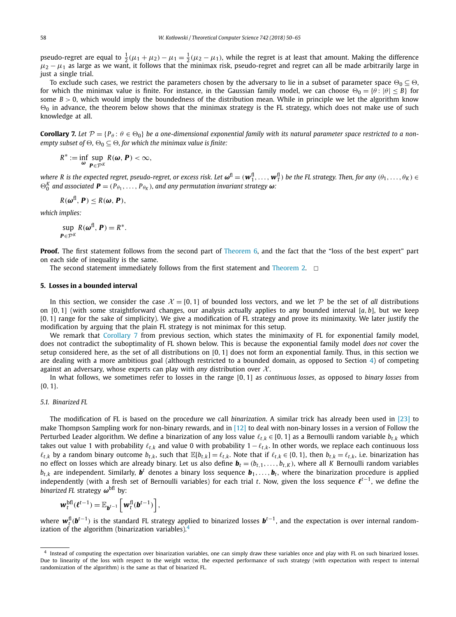<span id="page-8-0"></span>pseudo-regret are equal to  $\frac{1}{2}(\mu_1+\mu_2)-\mu_1=\frac{1}{2}(\mu_2-\mu_1)$ , while the regret is at least that amount. Making the difference  $\mu_2-\mu_1$  as large as we want, it follows that the minimax risk, pseudo-regret and regret can all be made arbitrarily large in just a single trial.

To exclude such cases, we restrict the parameters chosen by the adversary to lie in a subset of parameter space  $\Theta_0\subseteq\Theta$ , for which the minimax value is finite. For instance, in the Gaussian family model, we can choose  $\Theta_0 = \{\theta : |\theta| \leq B\}$  for some  $B > 0$ , which would imply the boundedness of the distribution mean. While in principle we let the algorithm know  $\Theta_0$  in advance, the theorem below shows that the minimax strategy is the FL strategy, which does not make use of such knowledge at all.

**Corollary 7.** Let  $\mathcal{P} = \{P_\theta : \theta \in \Theta_0\}$  be a one-dimensional exponential family with its natural parameter space restricted to a non $e$ mpty subset of  $\Theta$ ,  $\Theta_0$   $\subseteq$   $\Theta$ , for which the minimax value is finite:

$$
R^* := \inf_{\boldsymbol{\omega}} \sup_{\boldsymbol{P} \in \mathcal{P}^K} R(\boldsymbol{\omega}, \boldsymbol{P}) < \infty,
$$

where R is the expected regret, pseudo-regret, or excess risk. Let  $\pmb{\omega}^{\rm fl}=(\pmb{w}_1^{\rm fl},\ldots,\pmb{w}_T^{\rm fl})$  be the FL strategy. Then, for any  $(\theta_1,\ldots,\theta_K)\in$  $\Theta_0^K$  and associated  $\bm{P}=(P_{\theta_1},\ldots,P_{\theta_K})$ , and any permutation invariant strategy  $\bm{\omega}$ :

$$
R(\boldsymbol{\omega}^{\text{fl}},\boldsymbol{P})\leq R(\boldsymbol{\omega},\boldsymbol{P}),
$$

*which implies:*

$$
\sup_{\mathbf{P}\in\mathcal{P}^K}R(\boldsymbol{\omega}^{\mathrm{fl}},\mathbf{P})=R^*.
$$

**Proof.** The first statement follows from the second part of [Theorem 6,](#page-7-0) and the fact that the "loss of the best expert" part on each side of inequality is the same.

The second statement immediately follows from the first statement and [Theorem 2.](#page-4-0)  $\Box$ 

#### **5. Losses in a bounded interval**

In this section, we consider the case  $\mathcal{X} = [0, 1]$  of bounded loss vectors, and we let P be the set of *all* distributions on [0*,* 1] (with some straightforward changes, our analysis actually applies to any bounded interval [*a, b*], but we keep [0*,* 1] range for the sake of simplicity). We give a modification of FL strategy and prove its minimaxity. We later justify the modification by arguing that the plain FL strategy is not minimax for this setup.

We remark that Corollary 7 from previous section, which states the minimaxity of FL for exponential family model, does not contradict the suboptimality of FL shown below. This is because the exponential family model *does not* cover the setup considered here, as the set of all distributions on [0*,* 1] does not form an exponential family. Thus, in this section we are dealing with a more ambitious goal (although restricted to a bounded domain, as opposed to Section [4\)](#page-6-0) of competing against an adversary, whose experts can play with *any* distribution over  $X$ .

In what follows, we sometimes refer to losses in the range [0*,* 1] as *continuous losses*, as opposed to *binary losses* from {0*,* 1}.

#### *5.1. Binarized FL*

The modification of FL is based on the procedure we call *binarization*. A similar trick has already been used in [\[23\]](#page-15-0) to make Thompson Sampling work for non-binary rewards, and in  $[12]$  to deal with non-binary losses in a version of Follow the Perturbed Leader algorithm. We define a binarization of any loss value  $\ell_{t,k}$  ∈ [0, 1] as a Bernoulli random variable  $b_{t,k}$  which takes out value 1 with probability *t,<sup>k</sup>* and value 0 with probability 1−*t,k*. In other words, we replace each continuous loss  $\ell_{t,k}$  by a random binary outcome  $b_{t,k}$ , such that  $\mathbb{E}[b_{t,k}] = \ell_{t,k}$ . Note that if  $\ell_{t,k} \in \{0,1\}$ , then  $b_{t,k} = \ell_{t,k}$ , i.e. binarization has no effect on losses which are already binary. Let us also define  $\bm{b}_t = (b_{t,1},\ldots,b_{t,K})$ , where all *K* Bernoulli random variables  $b_{t,k}$  are independent. Similarly,  $b^t$  denotes a binary loss sequence  $b_1,\ldots,b_t$ , where the binarization procedure is applied independently (with a fresh set of Bernoulli variables) for each trial *t*. Now, given the loss sequence  $\ell^{t-1}$ , we define the *binarized FL* strategy *ω*bfl by:

$$
\mathbf{w}_t^{\text{bfl}}(\boldsymbol{\ell}^{t-1}) = \mathbb{E}_{\mathbf{b}^{t-1}}\left[\mathbf{w}_t^{\text{fl}}(\mathbf{b}^{t-1})\right],
$$

where *w*fl *<sup>t</sup> (bt*−<sup>1</sup>*)* is the standard FL strategy applied to binarized losses *<sup>b</sup>t*<sup>−</sup>1, and the expectation is over internal randomization of the algorithm (binarization variables). $<sup>4</sup>$ </sup>

<sup>4</sup> Instead of computing the expectation over binarization variables, one can simply draw these variables once and play with FL on such binarized losses. Due to linearity of the loss with respect to the weight vector, the expected performance of such strategy (with expectation with respect to internal randomization of the algorithm) is the same as that of binarized FL.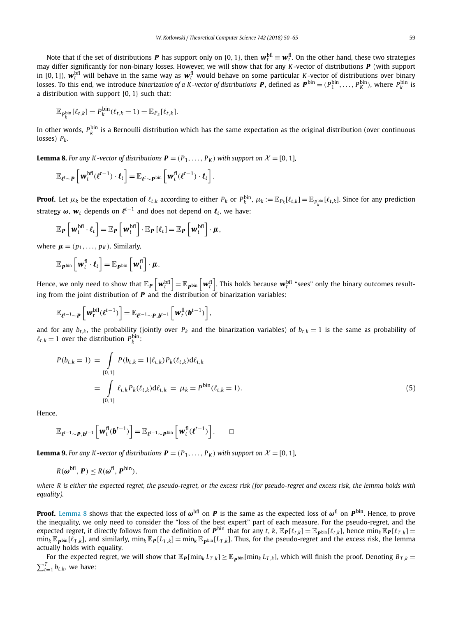<span id="page-9-0"></span>Note that if the set of distributions  $P$  has support only on {0, 1}, then  $w_t^{\text{bfl}} \equiv w_t^{\text{fl}}$ . On the other hand, these two strategies may differ significantly for non-binary losses. However, we will show that for any *K*-vector of distributions *P* (with support in [0, 1]),  $\bm{w}_t^{\rm bfl}$  will behave in the same way as  $\bm{w}_t^{\rm fl}$  would behave on some particular *K*-vector of distributions over binary losses. To this end, we introduce *binarization of a K*-vector of distributions **P**, defined as  $P^{\text{bin}} = (P_1^{\text{bin}}, \ldots, P_K^{\text{bin}})$ , where  $P_k^{\text{bin}}$  is a distribution with support {0*,* 1} such that:

$$
\mathbb{E}_{P_k^{\text{bin}}}[\ell_{t,k}] = P_k^{\text{bin}}(\ell_{t,k} = 1) = \mathbb{E}_{P_k}[\ell_{t,k}].
$$

In other words,  $P_k^{\rm bin}$  is a Bernoulli distribution which has the same expectation as the original distribution (over continuous losses) *Pk*.

**Lemma 8.** For any *K*-vector of distributions  $P = (P_1, \ldots, P_K)$  with support on  $\mathcal{X} = [0, 1]$ ,

$$
\mathbb{E}_{\ell^t \sim P} \left[ \boldsymbol{w}_t^{\text{bfl}}(\ell^{t-1}) \cdot \boldsymbol{\ell}_t \right] = \mathbb{E}_{\ell^t \sim P^{\text{bin}}} \left[ \boldsymbol{w}_t^{\text{fl}}(\ell^{t-1}) \cdot \boldsymbol{\ell}_t \right].
$$

**Proof.** Let  $\mu_k$  be the expectation of  $\ell_{t,k}$  according to either  $P_k$  or  $P_k^{\text{bin}}, \mu_k := \mathbb{E}_{P_k}[\ell_{t,k}] = \mathbb{E}_{P_k^{\text{bin}}}[\ell_{t,k}]$ . Since for any prediction strategy  $\bm{\omega},\,\bm{w}_t$  depends on  $\bm{\ell}^{t-1}$  and does not depend on  $\bm{\ell}_t,$  we have:

$$
\mathbb{E}_{\boldsymbol{P}}\left[\boldsymbol{w}_t^{\text{bfl}}\cdot\boldsymbol{\ell}_t\right] = \mathbb{E}_{\boldsymbol{P}}\left[\boldsymbol{w}_t^{\text{bfl}}\right]\cdot\mathbb{E}_{\boldsymbol{P}}\left[\boldsymbol{\ell}_t\right] = \mathbb{E}_{\boldsymbol{P}}\left[\boldsymbol{w}_t^{\text{bfl}}\right]\cdot\boldsymbol{\mu},
$$

where  $\mu = (p_1, \ldots, p_K)$ . Similarly,

$$
\mathbb{E}_{\boldsymbol{P}^{\text{bin}}} \left[ \boldsymbol{w}^{\text{fl}}_t \cdot \boldsymbol{\ell}_t \right] = \mathbb{E}_{\boldsymbol{P}^{\text{bin}}} \left[ \boldsymbol{w}^{\text{fl}}_t \right] \cdot \boldsymbol{\mu}.
$$

Hence, we only need to show that  $\mathbb{E}_{\bm P}\bigwedge^{\text{bfl}}=\mathbb{E}_{\bm P^{\text{bin}}}\bigwedge^{\text{fl}}\bigwedge^{\text{fl}}.$  This holds because  $\bm w^{\text{bfl}}_t$  "sees" only the binary outcomes resulting from the joint distribution of *P* and the distribution of binarization variables:

$$
\mathbb{E}_{\ell^{t-1}\sim P}\left[\mathbf{w}_t^{\text{bfl}}(\ell^{t-1})\right] = \mathbb{E}_{\ell^{t-1}\sim P, \boldsymbol{b}^{t-1}}\left[\mathbf{w}_t^{\text{fl}}(\boldsymbol{b}^{t-1})\right],
$$

and for any  $b_{t,k}$ , the probability (jointly over  $P_k$  and the binarization variables) of  $b_{t,k} = 1$  is the same as probability of  $\ell_{t,k} = 1$  over the distribution  $P_k^{\text{bin}}$ :

$$
P(b_{t,k} = 1) = \int_{[0,1]} P(b_{t,k} = 1 | \ell_{t,k}) P_k(\ell_{t,k}) d\ell_{t,k}
$$
  
= 
$$
\int_{[0,1]} \ell_{t,k} P_k(\ell_{t,k}) d\ell_{t,k} = \mu_k = P^{\text{bin}}(\ell_{t,k} = 1).
$$
 (5)

Hence,

$$
\mathbb{E}_{\ell^{t-1}\sim\mathbf{P},\mathbf{b}^{t-1}}\left[\mathbf{w}_t^{\text{fl}}(\mathbf{b}^{t-1})\right] = \mathbb{E}_{\ell^{t-1}\sim\mathbf{P}^{\text{bin}}}\left[\mathbf{w}_t^{\text{fl}}(\ell^{t-1})\right].\qquad \Box
$$

**Lemma 9.** For any *K*-vector of distributions  $P = (P_1, \ldots, P_K)$  with support on  $\mathcal{X} = [0, 1]$ *,* 

$$
R(\boldsymbol{\omega}^{\text{bfl}}, \boldsymbol{P}) \leq R(\boldsymbol{\omega}^{\text{fl}}, \boldsymbol{P}^{\text{bin}}),
$$

where R is either the expected regret, the pseudo-regret, or the excess risk (for pseudo-regret and excess risk, the lemma holds with *equality).*

**Proof.** Lemma 8 shows that the expected loss of *ω*bfl on *P* is the same as the expected loss of *ω*fl on *P*bin. Hence, to prove the inequality, we only need to consider the "loss of the best expert" part of each measure. For the pseudo-regret, and the expected regret, it directly follows from the definition of  $P^{\text{bin}}$  that for any t, k,  $\mathbb{E}_{P}[\ell_{t,k}] = \mathbb{E}_{P^{\text{bin}}}[\ell_{t,k}]$ , hence  $\min_{k} \mathbb{E}_{P}[\ell_{T,k}] =$  $\min_k \mathbb{E}_{\mathbf{p}^{bin}}[\ell_{T,k}]$ , and similarly,  $\min_k \mathbb{E}_{\mathbf{P}}[L_{T,k}] = \min_k \mathbb{E}_{\mathbf{p}^{bin}}[L_{T,k}]$ . Thus, for the pseudo-regret and the excess risk, the lemma actually holds with equality.

For the expected regret, we will show that  $\mathbb{E}_{\mathbf{P}}[\min_k L_{T,k}] \geq \mathbb{E}_{\mathbf{P}^{\text{bin}}}[ \min_k L_{T,k}]$ , which will finish the proof. Denoting  $B_{T,k}$  $\sum_{t=1}^{T} b_{t,k}$ , we have: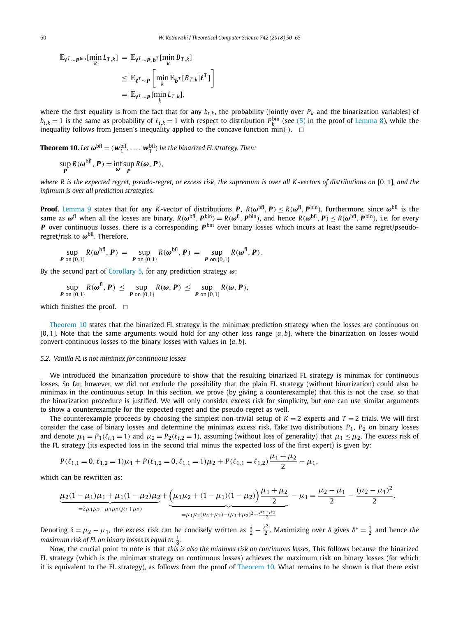$$
\mathbb{E}_{\ell^T \sim \mathbf{P}^{\text{bin}}}[ \min_{k} L_{T,k}] = \mathbb{E}_{\ell^T \sim \mathbf{P}, \mathbf{b}^T}[\min_{k} B_{T,k}]
$$
\n
$$
\leq \mathbb{E}_{\ell^T \sim \mathbf{P}} \left[ \min_{k} \mathbb{E}_{\mathbf{b}^T} [B_{T,k} | \ell^T] \right]
$$
\n
$$
= \mathbb{E}_{\ell^T \sim \mathbf{P}}[\min_{k} L_{T,k}],
$$

where the first equality is from the fact that for any  $b_{t,k}$ , the probability (jointly over  $P_k$  and the binarization variables) of  $b_{t,k} = 1$  is the same as probability of  $\ell_{t,k} = 1$  with respect to distribution  $P_k^{\text{bin}}$  (see [\(5\)](#page-9-0) in the proof of [Lemma 8\)](#page-9-0), while the inequality follows from Jensen's inequality applied to the concave function min( $\cdot$ ).  $\Box$ 

**Theorem 10.** Let  $\boldsymbol{\omega}^{\text{bfl}} = (\boldsymbol{w}_1^{\text{bfl}}, \dots, \boldsymbol{w}_T^{\text{bfl}})$  be the binarized FL strategy. Then:

$$
\sup_{\mathbf{P}} R(\boldsymbol{\omega}^{\text{bfl}}, \mathbf{P}) = \inf_{\boldsymbol{\omega}} \sup_{\mathbf{P}} R(\boldsymbol{\omega}, \mathbf{P}),
$$

where R is the expected regret, pseudo-regret, or excess risk, the supremum is over all K-vectors of distributions on  $[0, 1]$ , and the *infimum is over all prediction strategies.*

**Proof.** [Lemma](#page-9-0) 9 states that for any K-vector of distributions **P**,  $R(\boldsymbol{\omega}^{bfl}, P) \le R(\boldsymbol{\omega}^{fl}, P^{bin})$ . Furthermore, since  $\boldsymbol{\omega}^{bfl}$  is the same as  $\omega^{\text{fl}}$  when all the losses are binary,  $R(\omega^{\text{bl}}, P^{\text{bin}}) = R(\omega^{\text{fl}}, P^{\text{bin}})$ , and hence  $R(\omega^{\text{bl}}, P) \leq R(\omega^{\text{bl}}, P^{\text{bin}})$ , i.e. for every *P* over continuous losses, there is a corresponding *P*bin over binary losses which incurs at least the same regret/pseudoregret/risk to *ω*bfl. Therefore,

$$
\sup_{\boldsymbol{P} \text{ on }[0,1]} R(\boldsymbol{\omega}^{\text{bfl}}, \boldsymbol{P}) = \sup_{\boldsymbol{P} \text{ on }[0,1]} R(\boldsymbol{\omega}^{\text{bfl}}, \boldsymbol{P}) = \sup_{\boldsymbol{P} \text{ on }[0,1]} R(\boldsymbol{\omega}^{\text{fl}}, \boldsymbol{P}).
$$

By the second part of [Corollary 5,](#page-6-0) for any prediction strategy *ω*:

$$
\sup_{\boldsymbol{P} \text{ on } \{0,1\}} R(\boldsymbol{\omega}^{\text{fl}}, \boldsymbol{P}) \leq \sup_{\boldsymbol{P} \text{ on } \{0,1\}} R(\boldsymbol{\omega}, \boldsymbol{P}) \leq \sup_{\boldsymbol{P} \text{ on } [0,1]} R(\boldsymbol{\omega}, \boldsymbol{P}),
$$

which finishes the proof.  $\Box$ 

Theorem 10 states that the binarized FL strategy is the minimax prediction strategy when the losses are continuous on [0*,* 1]. Note that the same arguments would hold for any other loss range [*a, b*], where the binarization on losses would convert continuous losses to the binary losses with values in {*a, b*}.

#### *5.2. Vanilla FL is not minimax for continuous losses*

We introduced the binarization procedure to show that the resulting binarized FL strategy is minimax for continuous losses. So far, however, we did not exclude the possibility that the plain FL strategy (without binarization) could also be minimax in the continuous setup. In this section, we prove (by giving a counterexample) that this is not the case, so that the binarization procedure is justified. We will only consider excess risk for simplicity, but one can use similar arguments to show a counterexample for the expected regret and the pseudo-regret as well.

The counterexample proceeds by choosing the simplest non-trivial setup of  $K = 2$  experts and  $T = 2$  trials. We will first consider the case of binary losses and determine the minimax excess risk. Take two distributions *P*1, *P*<sup>2</sup> on binary losses and denote  $\mu_1 = P_1(\ell_{t,1} = 1)$  and  $\mu_2 = P_2(\ell_{t,2} = 1)$ , assuming (without loss of generality) that  $\mu_1 \leq \mu_2$ . The excess risk of the FL strategy (its expected loss in the second trial minus the expected loss of the first expert) is given by:

$$
P(\ell_{1,1}=0,\ell_{1,2}=1)\mu_1 + P(\ell_{1,2}=0,\ell_{1,1}=1)\mu_2 + P(\ell_{1,1}=\ell_{1,2})\frac{\mu_1 + \mu_2}{2} - \mu_1,
$$

which can be rewritten as:

$$
\underbrace{\mu_2(1-\mu_1)\mu_1 + \mu_1(1-\mu_2)\mu_2}_{=2\mu_1\mu_2 - \mu_1\mu_2(\mu_1+\mu_2)} + \underbrace{\left(\mu_1\mu_2 + (1-\mu_1)(1-\mu_2)\right)\frac{\mu_1 + \mu_2}{2}}_{=\mu_1\mu_2(\mu_1+\mu_2) - (\mu_1+\mu_2)^2 + \frac{\mu_1+\mu_2}{2}} - \mu_1 = \frac{\mu_2 - \mu_1}{2} - \frac{(\mu_2 - \mu_1)^2}{2}.
$$

Denoting  $\delta = \mu_2 - \mu_1$ , the excess risk can be concisely written as  $\frac{\delta}{2} - \frac{\delta^2}{2}$ . Maximizing over  $\delta$  gives  $\delta^* = \frac{1}{2}$  and hence the *maximum risk of FL on binary losses is equal to*  $\frac{1}{8}$ .

Now, the crucial point to note is that *this is also the minimax risk on continuous losses*. This follows because the binarized FL strategy (which is the minimax strategy on continuous losses) achieves the maximum risk on binary losses (for which it is equivalent to the FL strategy), as follows from the proof of Theorem 10. What remains to be shown is that there exist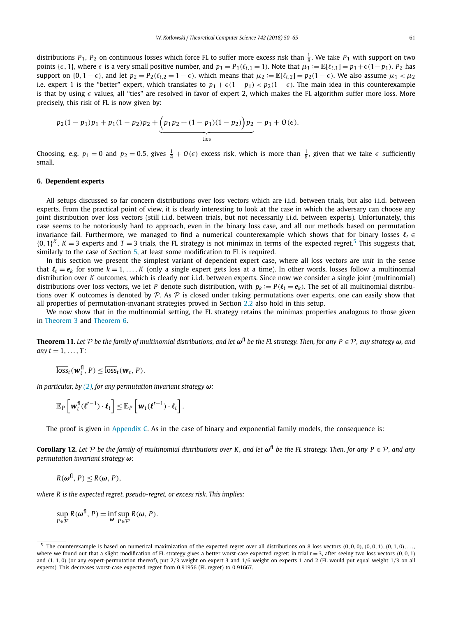<span id="page-11-0"></span>distributions  $P_1$ ,  $P_2$  on continuous losses which force FL to suffer more excess risk than  $\frac{1}{8}$ . We take  $P_1$  with support on two points  $\{\epsilon, 1\}$ , where  $\epsilon$  is a very small positive number, and  $p_1 = P_1(\ell_{t,1} = 1)$ . Note that  $\mu_1 := \mathbb{E}[\ell_{t,1}] = p_1 + \epsilon(1-p_1)$ .  $P_2$  has support on  $\{0, 1-\epsilon\}$ , and let  $p_2 = P_2(\ell_{t,2} = 1-\epsilon)$ , which means that  $\mu_2 := \mathbb{E}[\ell_{t,2}] = p_2(1-\epsilon)$ . We also assume  $\mu_1 < \mu_2$ i.e. expert 1 is the "better" expert, which translates to  $p_1 + \epsilon(1 - p_1) < p_2(1 - \epsilon)$ . The main idea in this counterexample is that by using  $\epsilon$  values, all "ties" are resolved in favor of expert 2, which makes the FL algorithm suffer more loss. More precisely, this risk of FL is now given by:

$$
p_2(1-p_1)p_1 + p_1(1-p_2)p_2 + \underbrace{(p_1p_2 + (1-p_1)(1-p_2))p_2 - p_1 + O(\epsilon)}_{\text{ties}}.
$$

Choosing, e.g.  $p_1 = 0$  and  $p_2 = 0.5$ , gives  $\frac{1}{4} + O(\epsilon)$  excess risk, which is more than  $\frac{1}{8}$ , given that we take  $\epsilon$  sufficiently small.

#### **6. Dependent experts**

All setups discussed so far concern distributions over loss vectors which are i.i.d. between trials, but also i.i.d. between experts. From the practical point of view, it is clearly interesting to look at the case in which the adversary can choose any joint distribution over loss vectors (still i.i.d. between trials, but not necessarily i.i.d. between experts). Unfortunately, this case seems to be notoriously hard to approach, even in the binary loss case, and all our methods based on permutation invariance fail. Furthermore, we managed to find a numerical counterexample which shows that for binary losses  $\bm{\ell}_t$   $\in$  ${0, 1}^K$ ,  $K = 3$  experts and  $T = 3$  trials, the FL strategy is not minimax in terms of the expected regret.<sup>5</sup> This suggests that, similarly to the case of Section [5,](#page-8-0) at least some modification to FL is required.

In this section we present the simplest variant of dependent expert case, where all loss vectors are *unit* in the sense that  $\ell_t = e_k$  for some  $k = 1, \ldots, K$  (only a single expert gets loss at a time). In other words, losses follow a multinomial distribution over *K* outcomes, which is clearly not i.i.d. between experts. Since now we consider a single joint (multinomial) distributions over loss vectors, we let P denote such distribution, with  $p_k := P(\ell_t = \bm{e}_k)$ . The set of all multinomial distributions over *K* outcomes is denoted by P. As P is closed under taking permutations over experts, one can easily show that all properties of permutation-invariant strategies proved in Section [2.2](#page-3-0) also hold in this setup.

We now show that in the multinomial setting, the FL strategy retains the minimax properties analogous to those given in [Theorem 3](#page-5-0) and [Theorem 6.](#page-7-0)

**Theorem 11.** Let P be the family of multinomial distributions, and let  $\omega^{\text{fl}}$  be the FL strategy. Then, for any  $P \in \mathcal{P}$ , any strategy  $\omega$ , and  $anv t = 1, \ldots, T$ :

$$
\overline{\text{loss}}_t(\boldsymbol{w}_t^{\text{fl}}, P) \leq \overline{\text{loss}}_t(\boldsymbol{w}_t, P).
$$

*In particular, by [\(2\),](#page-5-0) for any permutation invariant strategy ω:*

$$
\mathbb{E}_{P}\left[\mathbf{w}_{t}^{\text{fl}}(\boldsymbol{\ell}^{t-1})\cdot\boldsymbol{\ell}_{t}\right]\leq\mathbb{E}_{P}\left[\mathbf{w}_{t}(\boldsymbol{\ell}^{t-1})\cdot\boldsymbol{\ell}_{t}\right].
$$

The proof is given in [Appendix C.](#page-14-0) As in the case of binary and exponential family models, the consequence is:

**Corollary 12.** Let P be the family of multinomial distributions over K, and let  $\omega^{\text{fl}}$  be the FL strategy. Then, for any P  $\in$  P, and any *permutation invariant strategy ω:*

$$
R(\boldsymbol{\omega}^{\rm fl},P)\leq R(\boldsymbol{\omega},P),
$$

*where R is the expected regret, pseudo-regret, or excess risk. This implies:*

sup *<sup>P</sup>*∈P  $R(\boldsymbol{\omega}^{\text{fl}}, P) = \inf_{\boldsymbol{\omega}} \sup_{P \in \mathcal{P}}$ *R(ω, P).*

<sup>5</sup> The counterexample is based on numerical maximization of the expected regret over all distributions on 8 loss vectors *(*0*,* 0*,* 0*),(*0*,* 0*,* 1*),(*0*,* 1*,* 0*),...*, where we found out that a slight modification of FL strategy gives a better worst-case expected regret: in trial  $t = 3$ , after seeing two loss vectors  $(0, 0, 1)$ and *(*1*,* 1*,* 0*)* (or any expert-permutation thereof), put 2*/*3 weight on expert 3 and 1*/*6 weight on experts 1 and 2 (FL would put equal weight 1*/*3 on all experts). This decreases worst-case expected regret from 0*.*91956 (FL regret) to 0*.*91667.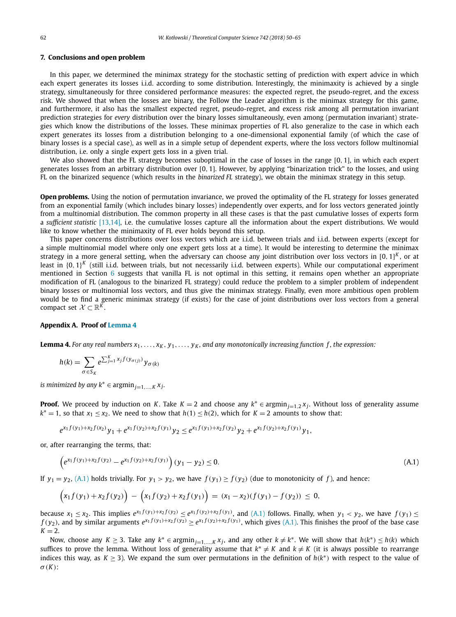#### <span id="page-12-0"></span>**7. Conclusions and open problem**

In this paper, we determined the minimax strategy for the stochastic setting of prediction with expert advice in which each expert generates its losses i.i.d. according to some distribution. Interestingly, the minimaxity is achieved by a single strategy, simultaneously for three considered performance measures: the expected regret, the pseudo-regret, and the excess risk. We showed that when the losses are binary, the Follow the Leader algorithm is the minimax strategy for this game, and furthermore, it also has the smallest expected regret, pseudo-regret, and excess risk among all permutation invariant prediction strategies for *every* distribution over the binary losses simultaneously, even among (permutation invariant) strategies which know the distributions of the losses. These minimax properties of FL also generalize to the case in which each expert generates its losses from a distribution belonging to a one-dimensional exponential family (of which the case of binary losses is a special case), as well as in a simple setup of dependent experts, where the loss vectors follow multinomial distribution, i.e. only a single expert gets loss in a given trial.

We also showed that the FL strategy becomes suboptimal in the case of losses in the range [0*,* 1], in which each expert generates losses from an arbitrary distribution over [0*,* 1]. However, by applying "binarization trick" to the losses, and using FL on the binarized sequence (which results in the *binarized FL* strategy), we obtain the minimax strategy in this setup.

**Open problems.** Using the notion of permutation invariance, we proved the optimality of the FL strategy for losses generated from an exponential family (which includes binary losses) independently over experts, and for loss vectors generated jointly from a multinomial distribution. The common property in all these cases is that the past cumulative losses of experts form a *sufficient statistic* [\[13,14\],](#page-15-0) i.e. the cumulative losses capture all the information about the expert distributions. We would like to know whether the minimaxity of FL ever holds beyond this setup.

This paper concerns distributions over loss vectors which are i.i.d. between trials and i.i.d. between experts (except for a simple multinomial model where only one expert gets loss at a time). It would be interesting to determine the minimax strategy in a more general setting, when the adversary can choose any joint distribution over loss vectors in  $[0, 1]^K$ , or at least in {0*,* 1}*<sup>K</sup>* (still i.i.d. between trials, but not necessarily i.i.d. between experts). While our computational experiment mentioned in Section [6](#page-11-0) suggests that vanilla FL is not optimal in this setting, it remains open whether an appropriate modification of FL (analogous to the binarized FL strategy) could reduce the problem to a simpler problem of independent binary losses or multinomial loss vectors, and thus give the minimax strategy. Finally, even more ambitious open problem would be to find a generic minimax strategy (if exists) for the case of joint distributions over loss vectors from a general compact set  $\mathcal{X} \subset \mathbb{R}^K$ .

#### **Appendix A. Proof of [Lemma 4](#page-5-0)**

**Lemma 4.** For any real numbers  $x_1, \ldots, x_K, y_1, \ldots, y_K$ , and any monotonically increasing function f, the expression:

$$
h(k) = \sum_{\sigma \in S_K} e^{\sum_{j=1}^K x_j f(y_{\sigma(j)})} y_{\sigma(k)}
$$

*is minimized by any*  $k$ <sup>∗</sup> ∈ argmin<sub>*i*=1,*...*,*K x*<sub>*j*</sub>.</sub>

**Proof.** We proceed by induction on *K*. Take *K* = 2 and choose any  $k^* \in \text{argmin}_{i=1,2} x_i$ . Without loss of generality assume  $k^* = 1$ , so that  $x_1 \le x_2$ . We need to show that  $h(1) \le h(2)$ , which for  $K = 2$  amounts to show that:

$$
e^{x_1 f(y_1) + x_2 f(x_2)} y_1 + e^{x_1 f(y_2) + x_2 f(y_1)} y_2 \le e^{x_1 f(y_1) + x_2 f(y_2)} y_2 + e^{x_1 f(y_2) + x_2 f(y_1)} y_1,
$$

or, after rearranging the terms, that:

$$
\left(e^{x_1f(y_1)+x_2f(y_2)}-e^{x_1f(y_2)+x_2f(y_1)}\right)(y_1-y_2)\leq 0.
$$
\n(A.1)

If  $y_1 = y_2$ , (A.1) holds trivially. For  $y_1 > y_2$ , we have  $f(y_1) \ge f(y_2)$  (due to monotonicity of f), and hence:

$$
(x_1f(y_1) + x_2f(y_2)) - (x_1f(y_2) + x_2f(y_1)) = (x_1 - x_2)(f(y_1) - f(y_2)) \le 0,
$$

because  $x_1 \le x_2$ . This implies  $e^{x_1f(y_1)+x_2f(y_2)} \le e^{x_1f(y_2)+x_2f(y_1)}$ , and (A.1) follows. Finally, when  $y_1 < y_2$ , we have  $f(y_1) \le$  $f(y_2)$ , and by similar arguments  $e^{x_1f(y_1)+x_2f(y_2)} \geq e^{x_1f(y_2)+x_2f(y_1)}$ , which gives (A.1). This finishes the proof of the base case  $K = 2.$ 

Now, choose any  $K \ge 3$ . Take any  $k^* \in \text{argmin}_{i=1,...,K} x_i$ , and any other  $k \ne k^*$ . We will show that  $h(k^*) \le h(k)$  which suffices to prove the lemma. Without loss of generality assume that  $k^* \neq K$  and  $k \neq K$  (it is always possible to rearrange indices this way, as  $K > 3$ ). We expand the sum over permutations in the definition of  $h(k^*)$  with respect to the value of *σ(K)*: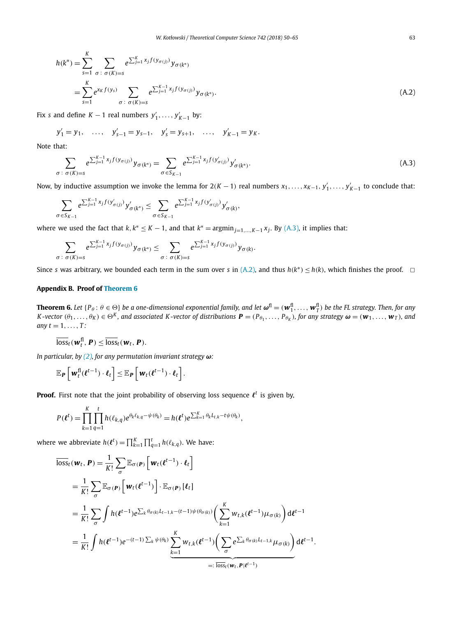<span id="page-13-0"></span>
$$
h(k^*) = \sum_{s=1}^k \sum_{\sigma : \sigma(K)=s} e^{\sum_{j=1}^K x_j f(y_{\sigma(j)})} y_{\sigma(k^*)}
$$
  
= 
$$
\sum_{s=1}^K e^{x_K f(y_s)} \sum_{\sigma : \sigma(K)=s} e^{\sum_{j=1}^{K-1} x_j f(y_{\sigma(j)})} y_{\sigma(k^*)}.
$$
 (A.2)

Fix *s* and define  $K - 1$  real numbers  $y'_1, \ldots, y'_{K-1}$  by:

*K*

$$
y'_1 = y_1
$$
, ...,  $y'_{s-1} = y_{s-1}$ ,  $y'_s = y_{s+1}$ , ...,  $y'_{K-1} = y_K$ .

Note that:

$$
\sum_{\sigma \,:\,\sigma(K)=s} e^{\sum_{j=1}^{K-1} x_j f(y_{\sigma(j)})} y_{\sigma(k^*)} = \sum_{\sigma \in S_{K-1}} e^{\sum_{j=1}^{K-1} x_j f(y'_{\sigma(j)})} y'_{\sigma(k^*)}.
$$
\n(A.3)

Now, by inductive assumption we invoke the lemma for  $2(K-1)$  real numbers  $x_1, \ldots, x_{K-1}, y'_1, \ldots, y'_{K-1}$  to conclude that:

$$
\sum_{\sigma \in S_{K-1}} e^{\sum_{j=1}^{K-1} x_j f(y'_{\sigma(j)})} y'_{\sigma(k^*)} \leq \sum_{\sigma \in S_{K-1}} e^{\sum_{j=1}^{K-1} x_j f(y'_{\sigma(j)})} y'_{\sigma(k)},
$$

where we used the fact that  $k, k^* \le K - 1$ , and that  $k^* = \arg\min_{i=1,\dots,K-1} x_i$ . By (A.3), it implies that:

$$
\sum_{\sigma\colon \sigma(K)=s}e^{\sum_{j=1}^{K-1}x_jf(y_{\sigma(j)})}y_{\sigma(k^*)}\leq \sum_{\sigma\colon \sigma(K)=s}e^{\sum_{j=1}^{K-1}x_jf(y_{\sigma(j)})}y_{\sigma(k)}.
$$

Since *s* was arbitrary, we bounded each term in the sum over *s* in (A.2), and thus  $h(k^*) \leq h(k)$ , which finishes the proof.  $\Box$ 

### **Appendix B. Proof of [Theorem 6](#page-7-0)**

**Theorem 6.** Let  $\{P_\theta: \theta \in \Theta\}$  be a one-dimensional exponential family, and let  $\bm{\omega}^{\rm fl}=(\bm{\mathsf{w}}_1^{\rm fl},\dots,\bm{\mathsf{w}}_T^{\rm fl})$  be the FL strategy. Then, for any K-vector  $(\theta_1,\ldots,\theta_K)\in\Theta^K$ , and associated K-vector of distributions  $\bm P=(P_{\theta_1},\ldots,P_{\theta_K})$ , for any strategy  $\bm\omega=(\bm w_1,\ldots,\bm w_T)$ , and *any*  $t = 1, ..., T$ :

$$
\overline{\text{loss}}_t(\boldsymbol{w}_t^{\text{fl}},\boldsymbol{P}) \leq \overline{\text{loss}}_t(\boldsymbol{w}_t,\boldsymbol{P}).
$$

*In particular, by [\(2\),](#page-5-0) for any permutation invariant strategy ω:*

$$
\mathbb{E}_{\boldsymbol{P}}\left[\boldsymbol{w}_t^{\text{fl}}(\boldsymbol{\ell}^{t-1})\cdot\boldsymbol{\ell}_t\right] \leq \mathbb{E}_{\boldsymbol{P}}\left[\boldsymbol{w}_t(\boldsymbol{\ell}^{t-1})\cdot\boldsymbol{\ell}_t\right].
$$

**Proof.** First note that the joint probability of observing loss sequence  $\boldsymbol{\ell}^t$  is given by,

$$
P(\ell^t) = \prod_{k=1}^K \prod_{q=1}^t h(\ell_{k,q}) e^{\theta_k \ell_{k,q} - \psi(\theta_k)} = h(\ell^t) e^{\sum_{k=1}^K \theta_k L_{t,k} - t \psi(\theta_k)},
$$

where we abbreviate  $h(\boldsymbol{\ell}^t) = \prod_{k=1}^K \prod_{q=1}^t h(\ell_{k,q}).$  We have:

$$
\overline{\text{loss}}_t(\boldsymbol{w}_t, \boldsymbol{P}) = \frac{1}{K!} \sum_{\sigma} \mathbb{E}_{\sigma(\boldsymbol{P})} \left[ \boldsymbol{w}_t(\boldsymbol{\ell}^{t-1}) \cdot \boldsymbol{\ell}_t \right]
$$
\n
$$
= \frac{1}{K!} \sum_{\sigma} \mathbb{E}_{\sigma(\boldsymbol{P})} \left[ \boldsymbol{w}_t(\boldsymbol{\ell}^{t-1}) \right] \cdot \mathbb{E}_{\sigma(\boldsymbol{P})} [\boldsymbol{\ell}_t]
$$
\n
$$
= \frac{1}{K!} \sum_{\sigma} \int h(\boldsymbol{\ell}^{t-1}) e^{\sum_k \theta_{\sigma(k)} L_{t-1,k} - (t-1) \psi(\theta_{\sigma(k)})} \left( \sum_{k=1}^K w_{t,k}(\boldsymbol{\ell}^{t-1}) \mu_{\sigma(k)} \right) d\boldsymbol{\ell}^{t-1}
$$
\n
$$
= \frac{1}{K!} \int h(\boldsymbol{\ell}^{t-1}) e^{-(t-1) \sum_k \psi(\theta_k)} \sum_{k=1}^K w_{t,k}(\boldsymbol{\ell}^{t-1}) \left( \sum_{\sigma} e^{\sum_k \theta_{\sigma(k)} L_{t-1,k}} \mu_{\sigma(k)} \right) d\boldsymbol{\ell}^{t-1}.
$$
\n
$$
=: \overline{\text{loss}}_t(\boldsymbol{w}_t, \boldsymbol{P} |\boldsymbol{\ell}^{t-1})}
$$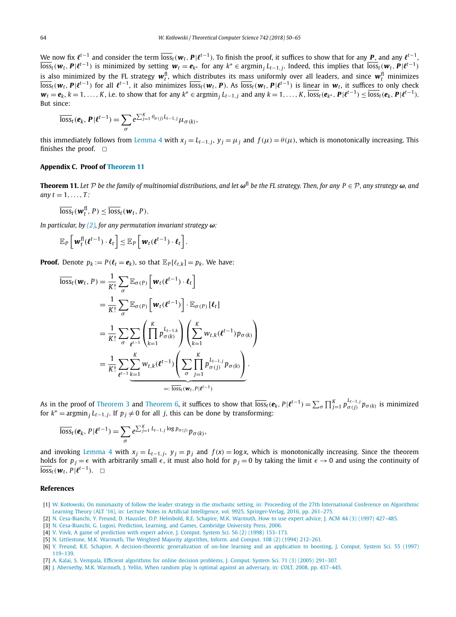<span id="page-14-0"></span>We now fix  $\bm{\ell}^{t-1}$  and consider the term  $\overline{{\rm loss}}_t({\bm w}_t,{\bm P}|\bm{\ell}^{t-1}).$  To finish the proof, it suffices to show that for any  ${\bm P}$ , and any  $\bm{\ell}^{t-1}$ ,  $\overline{\text{loss}}_t(\bm{w}_t,\bm{P}|\bm{\ell}^{t-1})$  is minimized by setting  $\bm{w}_t=\bm{e}_{k^*}$  for any  $k^*\in\text{argmin}_j L_{t-1,j}.$  Indeed, this implies that  $\overline{\text{loss}}_t(\bm{w}_t,\bm{P}|\bm{\ell}^{t-1})$ is also minimized by the FL strategy  $w_t^{\text{fl}}$ , which distributes its mass uniformly over all leaders, and since  $w_t^{\text{fl}}$  minimizes  $\overline{{\rm loss}}_t({\bm{w}}_t,{\bm{P}}|{\bm{\ell}}^{t-1})$  for all  ${\bm{\ell}}^{t-1}$ , it also minimizes  $\overline{{\rm loss}}_t({\bm{w}}_t,{\bm{P}})$ . As  $\overline{{\rm loss}}_t({\bm{w}}_t,{\bm{P}}|{\bm{\ell}}^{t-1})$  is linear in  ${\bm{w}}_t$ , it suffices to only check  $\bm{w}_t=\bm{e}_k$ ,  $k=1,\ldots,K$ , i.e. to show that for any  $k^*\in \mathop{\rm argmin}_j L_{t-1,j}$  and any  $k=1,\ldots,K$ ,  $\overline{\text{loss}}_t(\bm{e}_{k^*},\bm{P}|\bm{\ell}^{t-1})\leq \overline{\text{loss}}_t(\bm{e}_k,\bm{P}|\bm{\ell}^{t-1}).$ But since:

$$
\overline{\text{loss}}_t(\boldsymbol{e}_k, \boldsymbol{P}|\boldsymbol{\ell}^{t-1}) = \sum_{\sigma} e^{\sum_{j=1}^K \theta_{\sigma(j)} L_{t-1,j}} \mu_{\sigma(k)},
$$

this immediately follows from [Lemma 4](#page-5-0) with  $x_j = L_{t-1,j}$ ,  $y_j = \mu_j$  and  $f(\mu) = \theta(\mu)$ , which is monotonically increasing. This finishes the proof.  $\Box$ 

#### **Appendix C. Proof of [Theorem 11](#page-11-0)**

**Theorem 11.** Let P be the family of multinomial distributions, and let  $\omega^{\text{fl}}$  be the FL strategy. Then, for any P  $\in \mathcal{P}$ , any strategy  $\omega$ , and  $any \t t = 1, ..., T$ :

$$
\overline{\text{loss}}_t(\boldsymbol{w}_t^{\text{fl}}, P) \leq \overline{\text{loss}}_t(\boldsymbol{w}_t, P).
$$

*In particular, by [\(2\),](#page-5-0) for any permutation invariant strategy ω:*

$$
\mathbb{E}_{P}\left[\mathbf{w}_{t}^{\mathrm{fl}}(\boldsymbol{\ell}^{t-1})\cdot\boldsymbol{\ell}_{t}\right]\leq\mathbb{E}_{P}\left[\mathbf{w}_{t}(\boldsymbol{\ell}^{t-1})\cdot\boldsymbol{\ell}_{t}\right].
$$

**Proof.** Denote  $p_k := P(\ell_t = \boldsymbol{e}_k)$ , so that  $\mathbb{E}_P[\ell_{t,k}] = p_k$ . We have:

$$
\overline{\text{loss}}_t(\boldsymbol{w}_t, P) = \frac{1}{K!} \sum_{\sigma} \mathbb{E}_{\sigma(P)} \left[ \boldsymbol{w}_t(\boldsymbol{\ell}^{t-1}) \cdot \boldsymbol{\ell}_t \right]
$$
\n
$$
= \frac{1}{K!} \sum_{\sigma} \mathbb{E}_{\sigma(P)} \left[ \boldsymbol{w}_t(\boldsymbol{\ell}^{t-1}) \right] \cdot \mathbb{E}_{\sigma(P)} [\boldsymbol{\ell}_t]
$$
\n
$$
= \frac{1}{K!} \sum_{\sigma} \sum_{\boldsymbol{\ell}^{t-1}} \left( \prod_{k=1}^K p_{\sigma(k)}^{L_{t-1,k}} \right) \left( \sum_{k=1}^K w_{t,k}(\boldsymbol{\ell}^{t-1}) p_{\sigma(k)} \right)
$$
\n
$$
= \frac{1}{K!} \sum_{\boldsymbol{\ell}^{t-1}} \sum_{\boldsymbol{\ell}^{t-1}}^K w_{t,k}(\boldsymbol{\ell}^{t-1}) \left( \sum_{\sigma} \prod_{j=1}^K p_{\sigma(j)}^{L_{t-1,j}} p_{\sigma(k)} \right)
$$
\n
$$
=:\overline{\text{loss}}_t(\boldsymbol{w}_t, P | \boldsymbol{\ell}^{t-1})
$$

As in the proof of [Theorem 3](#page-5-0) and [Theorem 6,](#page-7-0) it suffices to show that  $\overline{loss}_t(\mathbf{e}_k, P | \ell^{t-1}) = \sum_{\sigma} \prod_{j=1}^K p_{\sigma(j)}^{L_{t-1,j}} p_{\sigma(k)}$  is minimized for  $k^* = \argmin_j L_{t-1,j}$ . If  $p_j \neq 0$  for all *j*, this can be done by transforming:

$$
\overline{\text{loss}}_t(\boldsymbol{e}_k, P | \boldsymbol{\ell}^{t-1}) = \sum_{\sigma} e^{\sum_{j=1}^K L_{t-1,j} \log p_{\sigma(j)}} p_{\sigma(k)},
$$

and invoking [Lemma 4](#page-5-0) with  $x_j = L_{t-1,j}$ ,  $y_j = p_j$  and  $f(x) = \log x$ , which is monotonically increasing. Since the theorem holds for  $p_j = \epsilon$  with arbitrarily small  $\epsilon$ , it must also hold for  $p_j = 0$  by taking the limit  $\epsilon \to 0$  and using the continuity of  $\overline{\text{loss}}_t(\textbf{\textit{w}}_t, P | \boldsymbol{\ell}^{t-1})$ .  $\Box$ 

#### **References**

- [1] W. Kotłowski, On minimaxity of follow the leader strategy in the stochastic setting, in: Proceeding of the [27th International](http://refhub.elsevier.com/S0304-3975(17)30925-8/bib4B6F746C6F77736B695F414C5432303136s1) Conference on Algorithmic Learning Theory (ALT '16), in: Lecture Notes in Artificial Intelligence, vol. 9925, [Springer-Verlag,](http://refhub.elsevier.com/S0304-3975(17)30925-8/bib4B6F746C6F77736B695F414C5432303136s1) 2016, pp. 261–275.
- [2] N. [Cesa-Bianchi,](http://refhub.elsevier.com/S0304-3975(17)30925-8/bib657870657274616476696365s1) Y. Freund, D. Haussler, D.P. Helmbold, R.E. Schapire, M.K. Warmuth, How to use expert advice, J. ACM 44 (3) (1997) 427–485.
- [3] N. [Cesa-Bianchi,](http://refhub.elsevier.com/S0304-3975(17)30925-8/bib436573614269616E6368694C75676F736932303036s1) G. Lugosi, Prediction, Learning, and Games, Cambridge University Press, 2006.
- [4] V. Vovk, A game of [prediction](http://refhub.elsevier.com/S0304-3975(17)30925-8/bib566F766B31393938s1) with expert advice, J. Comput. System Sci. 56 (2) (1998) 153–173.
- [5] N. [Littlestone,](http://refhub.elsevier.com/S0304-3975(17)30925-8/bib776Ds1) M.K. Warmuth, The Weighted Majority algorithm, Inform. and Comput. 108 (2) (1994) 212–261.
- [6] Y. Freund, R.E. Schapire, A [decision-theoretic](http://refhub.elsevier.com/S0304-3975(17)30925-8/bib6865646765s1) generalization of on-line learning and an application to boosting, J. Comput. System Sci. 55 (1997) [119–139.](http://refhub.elsevier.com/S0304-3975(17)30925-8/bib6865646765s1)
- [7] A. Kalai, S. Vempala, Efficient [algorithms](http://refhub.elsevier.com/S0304-3975(17)30925-8/bib4B616C616956656D70616C6132303035s1) for online decision problems, J. Comput. System Sci. 71 (3) (2005) 291–307.
- [8] J. Abernethy, M.K. Warmuth, J. Yellin, When random play is optimal against an adversary, in: COLT, 2008, [pp. 437–445.](http://refhub.elsevier.com/S0304-3975(17)30925-8/bib6177792D7772706F61612D3038s1)